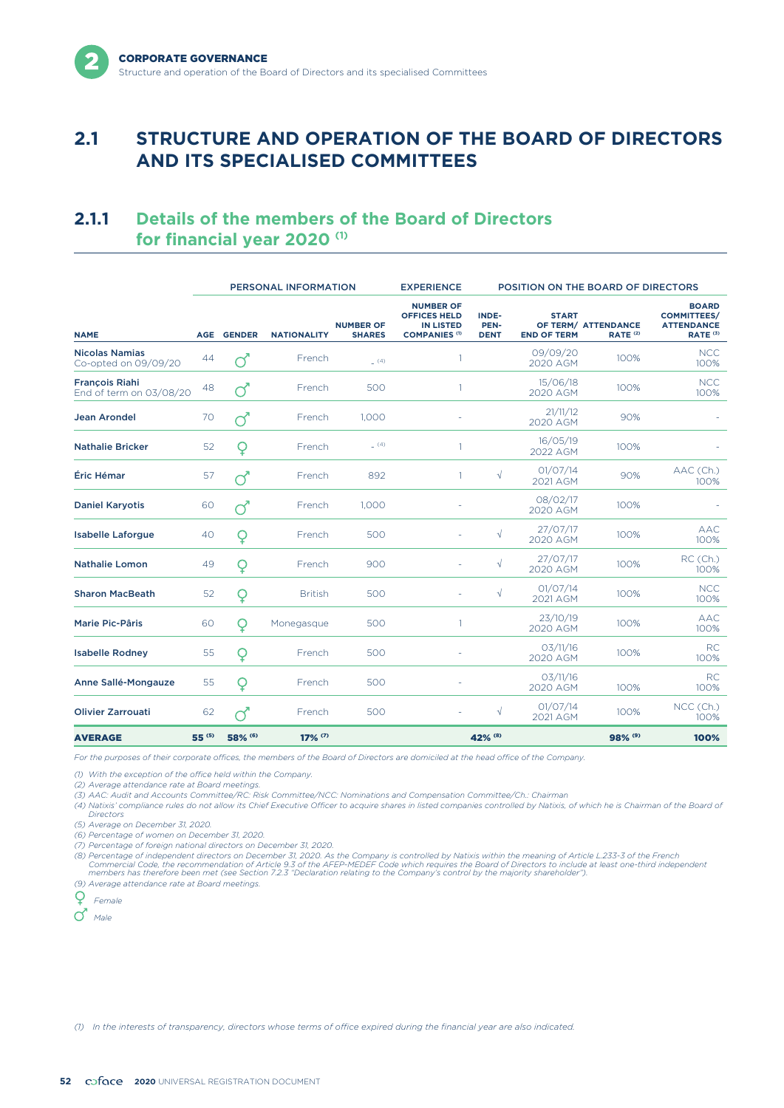# **2.1 STRUCTURE AND OPERATION OF THE BOARD OF DIRECTORS AND ITS SPECIALISED COMMITTEES**

# **2.1.1 Details of the members of the Board of Directors for financial year 2020 (1)**

|                                                  | PERSONAL INFORMATION |                  |                       |                                   | <b>EXPERIENCE</b>                                                                   |                                     |                                    | POSITION ON THE BOARD OF DIRECTORS         |                                                                                |
|--------------------------------------------------|----------------------|------------------|-----------------------|-----------------------------------|-------------------------------------------------------------------------------------|-------------------------------------|------------------------------------|--------------------------------------------|--------------------------------------------------------------------------------|
| <b>NAME</b>                                      | <b>AGE</b>           | <b>GENDER</b>    | <b>NATIONALITY</b>    | <b>NUMBER OF</b><br><b>SHARES</b> | <b>NUMBER OF</b><br><b>OFFICES HELD</b><br><b>IN LISTED</b><br><b>COMPANIES (1)</b> | <b>INDE-</b><br>PEN-<br><b>DENT</b> | <b>START</b><br><b>END OF TERM</b> | OF TERM/ ATTENDANCE<br>RATE <sup>(2)</sup> | <b>BOARD</b><br><b>COMMITTEES/</b><br><b>ATTENDANCE</b><br>RATE <sup>(3)</sup> |
| <b>Nicolas Namias</b><br>Co-opted on 09/09/20    | 44                   |                  | French                | (4)                               |                                                                                     |                                     | 09/09/20<br>2020 AGM               | 100%                                       | <b>NCC</b><br>100%                                                             |
| <b>François Riahi</b><br>End of term on 03/08/20 | 48                   | $\sigma$         | French                | 500                               | 1                                                                                   |                                     | 15/06/18<br>2020 AGM               | 100%                                       | <b>NCC</b><br>100%                                                             |
| <b>Jean Arondel</b>                              | 70                   | $\overline{Q}^*$ | French                | 1,000                             |                                                                                     |                                     | 21/11/12<br>2020 AGM               | 90%                                        |                                                                                |
| <b>Nathalie Bricker</b>                          | 52                   | Q                | French                | (4)                               |                                                                                     |                                     | 16/05/19<br>2022 AGM               | 100%                                       |                                                                                |
| Éric Hémar                                       | 57                   | $\vec{Q}$        | French                | 892                               | 1                                                                                   | $\sqrt{}$                           | 01/07/14<br>2021 AGM               | 90%                                        | AAC (Ch.)<br>100%                                                              |
| <b>Daniel Karyotis</b>                           | 60                   | $\sigma$         | French                | 1,000                             |                                                                                     |                                     | 08/02/17<br>2020 AGM               | 100%                                       |                                                                                |
| <b>Isabelle Laforgue</b>                         | 40                   | Q                | French                | 500                               |                                                                                     | $\sqrt{}$                           | 27/07/17<br>2020 AGM               | 100%                                       | <b>AAC</b><br>100%                                                             |
| <b>Nathalie Lomon</b>                            | 49                   | Q                | French                | 900                               |                                                                                     | $\sqrt{}$                           | 27/07/17<br>2020 AGM               | 100%                                       | RC (Ch.)<br>100%                                                               |
| <b>Sharon MacBeath</b>                           | 52                   | Q                | <b>British</b>        | 500                               |                                                                                     | $\sqrt{}$                           | 01/07/14<br>2021 AGM               | 100%                                       | <b>NCC</b><br>100%                                                             |
| <b>Marie Pic-Pâris</b>                           | 60                   | O                | Monegasque            | 500                               | 1                                                                                   |                                     | 23/10/19<br>2020 AGM               | 100%                                       | <b>AAC</b><br>100%                                                             |
| <b>Isabelle Rodney</b>                           | 55                   | Q                | French                | 500                               |                                                                                     |                                     | 03/11/16<br>2020 AGM               | 100%                                       | <b>RC</b><br>100%                                                              |
| Anne Sallé-Mongauze                              | 55                   | Q                | French                | 500                               |                                                                                     |                                     | 03/11/16<br>2020 AGM               | 100%                                       | <b>RC</b><br>100%                                                              |
| <b>Olivier Zarrouati</b>                         | 62                   | $\sigma$         | French                | 500                               |                                                                                     | $\sqrt{}$                           | 01/07/14<br>2021 AGM               | 100%                                       | NCC (Ch.)<br>100%                                                              |
| <b>AVERAGE</b>                                   | 55 (5)               | 58% (6)          | $17\%$ <sup>(7)</sup> |                                   |                                                                                     | 42% (8)                             |                                    | 98% (9)                                    | 100%                                                                           |

*For the purposes of their corporate offices, the members of the Board of Directors are domiciled at the head office of the Company.*

*(1) With the exception of the office held within the Company.*

*(2) Average attendance rate at Board meetings. (3) AAC: Audit and Accounts Committee/RC: Risk Committee/NCC: Nominations and Compensation Committee/Ch.: Chairman*

*(4) Natixis' compliance rules do not allow its Chief Executive Officer to acquire shares in listed companies controlled by Natixis, of which he is Chairman of the Board of Directors*

*(5) Average on December 31, 2020.*

*(6) Percentage of women on December 31, 2020.*

*(7) Percentage of foreign national directors on December 31, 2020.*

(8) Percentage of independent directors on December 31, 2020. As the Company is controlled by Natixis within the meaning of Article L.233-3 of the French<br>Commercial Code, the arecommendation of Article 9.3 of the AFEP-MEDE

*(9) Average attendance rate at Board meetings.*



*(1) In the interests of transparency, directors whose terms of office expired during the financial year are also indicated.*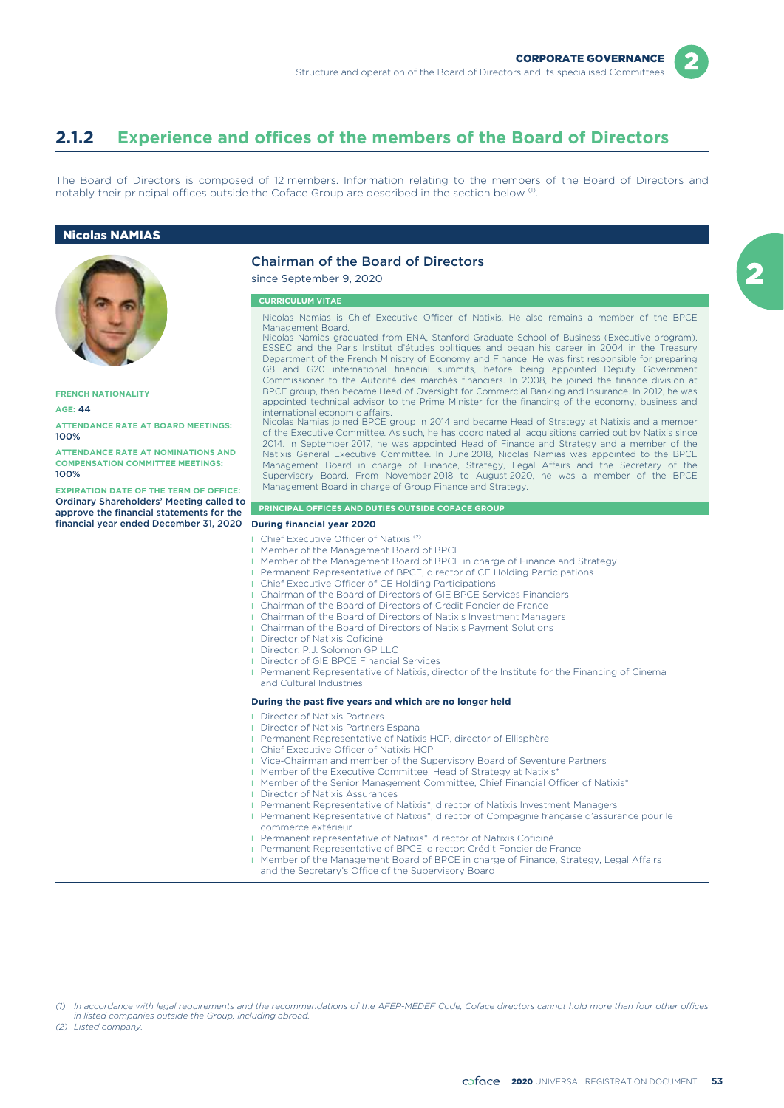

## **2.1.2 Experience and offices of the members of the Board of Directors**

The Board of Directors is composed of 12 members. Information relating to the members of the Board of Directors and notably their principal offices outside the Coface Group are described in the section below <sup>(1)</sup>.

#### Nicolas NAMIAS



**FRENCH NATIONALITY**

**AGE:** 44

**ATTENDANCE RATE AT BOARD MEETINGS:** 100%

**ATTENDANCE RATE AT NOMINATIONS AND COMPENSATION COMMITTEE MEETINGS:** 100%

**EXPIRATION DATE OF THE TERM OF OFFICE:** Ordinary Shareholders' Meeting called to approve the financial statements for the financial year ended December 31, 2020 **During financial year 2020**

### Chairman of the Board of Directors

since September 9, 2020

#### **CURRICULUM VITAE**

Nicolas Namias is Chief Executive Officer of Natixis. He also remains a member of the BPCE Management Board.

Nicolas Namias graduated from ENA, Stanford Graduate School of Business (Executive program), ESSEC and the Paris Institut d'études politiques and began his career in 2004 in the Treasury Department of the French Ministry of Economy and Finance. He was first responsible for preparing G8 and G20 international financial summits, before being appointed Deputy Government Commissioner to the Autorité des marchés financiers. In 2008, he joined the finance division at BPCE group, then became Head of Oversight for Commercial Banking and Insurance. In 2012, he was appointed technical advisor to the Prime Minister for the financing of the economy, business and

international economic affairs. Nicolas Namias joined BPCE group in 2014 and became Head of Strategy at Natixis and a member of the Executive Committee. As such, he has coordinated all acquisitions carried out by Natixis since 2014. In September 2017, he was appointed Head of Finance and Strategy and a member of the Natixis General Executive Committee. In June 2018, Nicolas Namias was appointed to the BPCE Management Board in charge of Finance, Strategy, Legal Affairs and the Secretary of the Supervisory Board. From November 2018 to August 2020, he was a member of the BPCE Management Board in charge of Group Finance and Strategy.

#### **PRINCIPAL OFFICES AND DUTIES OUTSIDE COFACE GROUP**

- Chief Executive Officer of Natixis<sup>(2)</sup>
- l Member of the Management Board of BPCE
- Member of the Management Board of BPCE in charge of Finance and Strategy
- Permanent Representative of BPCE, director of CE Holding Participations
- Chief Executive Officer of CE Holding Participations
- Chairman of the Board of Directors of GIE BPCE Services Financiers
- l Chairman of the Board of Directors of Crédit Foncier de France
- l Chairman of the Board of Directors of Natixis Investment Managers
- l Chairman of the Board of Directors of Natixis Payment Solutions
- Director of Natixis Coficiné
- Director: P.J. Solomon GP LLC
- Director of GIE BPCE Financial Services
- **I** Permanent Representative of Natixis, director of the Institute for the Financing of Cinema and Cultural Industries

#### **During the past five years and which are no longer held**

- Director of Natixis Partners
- Director of Natixis Partners Espana
- Permanent Representative of Natixis HCP, director of Ellisphère
- Chief Executive Officer of Natixis HCP
- l Vice-Chairman and member of the Supervisory Board of Seventure Partners
- **I** Member of the Executive Committee, Head of Strategy at Natixis\*
- Member of the Senior Management Committee, Chief Financial Officer of Natixis\*
	- Director of Natixis Assurances
	- Permanent Representative of Natixis\*, director of Natixis Investment Managers
	- l Permanent Representative of Natixis\*, director of Compagnie française d'assurance pour le commerce extérieur
	- Permanent representative of Natixis\*: director of Natixis Coficiné
	- Permanent Representative of BPCE, director: Crédit Foncier de France
	- Member of the Management Board of BPCE in charge of Finance, Strategy, Legal Affairs and the Secretary's Office of the Supervisory Board

*(1) In accordance with legal requirements and the recommendations of the AFEP-MEDEF Code, Coface directors cannot hold more than four other offices in listed companies outside the Group, including abroad.*

*(2) Listed company.*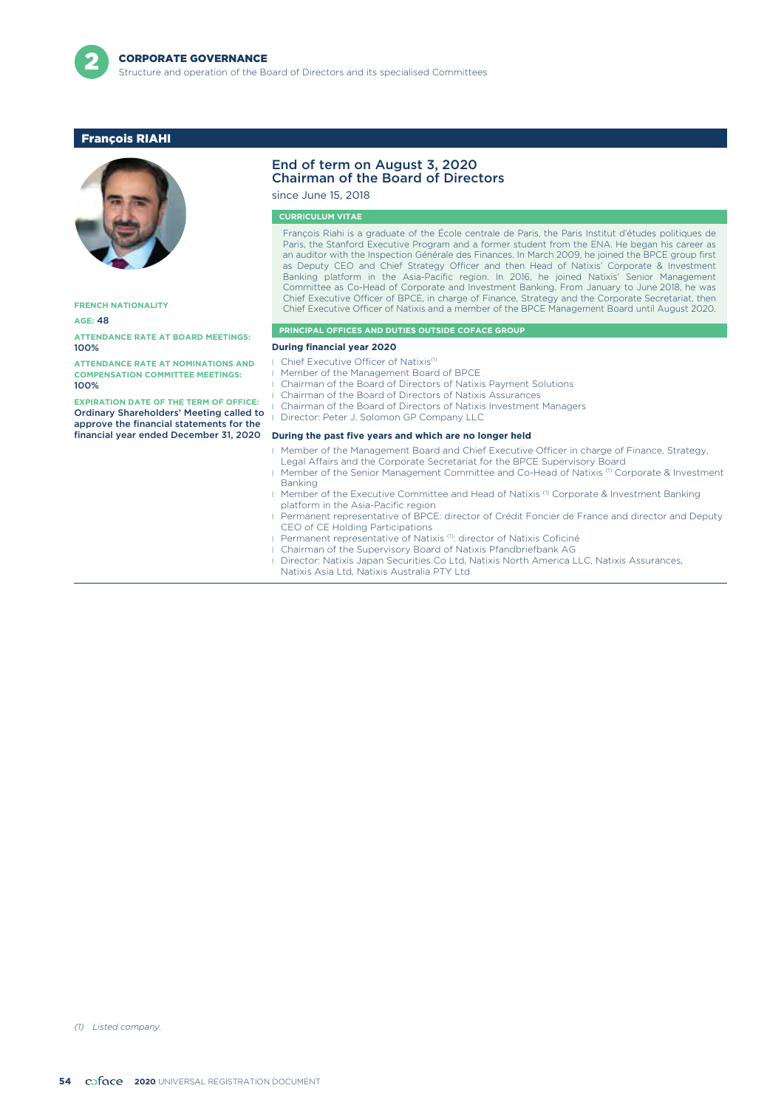

### François RIAHI



**FRENCH NATIONALITY**

#### **AGE:** 48

**ATTENDANCE RATE AT BOARD MEETINGS:** 100%

**ATTENDANCE RATE AT NOMINATIONS AND COMPENSATION COMMITTEE MEETINGS:** 100%

**EXPIRATION DATE OF THE TERM OF OFFICE:** Ordinary Shareholders' Meeting called to approve the financial statements for the financial year ended December 31, 2020

#### End of term on August 3, 2020 Chairman of the Board of Directors

since June 15, 2018

#### **CURRICULUM VITAE**

François Riahi is a graduate of the École centrale de Paris, the Paris Institut d'études politiques de Paris, the Stanford Executive Program and a former student from the ENA. He began his career as an auditor with the Inspection Générale des Finances. In March 2009, he joined the BPCE group first as Deputy CEO and Chief Strategy Officer and then Head of Natixis' Corporate & Investment Banking platform in the Asia-Pacific region. In 2016, he joined Natixis' Senior Management Committee as Co-Head of Corporate and Investment Banking. From January to June 2018, he was Chief Executive Officer of BPCE, in charge of Finance, Strategy and the Corporate Secretariat, then Chief Executive Officer of Natixis and a member of the BPCE Management Board until August 2020.

#### **PRINCIPAL OFFICES AND DUTIES OUTSIDE COFACE GROUP**

#### **During financial year 2020**

- Chief Executive Officer of Natixis<sup>(1)</sup>
- Member of the Management Board of BPCE
- l Chairman of the Board of Directors of Natixis Payment Solutions
- l Chairman of the Board of Directors of Natixis Assurances
- l Chairman of the Board of Directors of Natixis Investment Managers
- Director: Peter J. Solomon GP Company LLC

#### **During the past five years and which are no longer held**

- **I** Member of the Management Board and Chief Executive Officer in charge of Finance, Strategy,
	- Legal Affairs and the Corporate Secretariat for the BPCE Supervisory Board
- Member of the Senior Management Committee and Co-Head of Natixis (1) Corporate & Investment Banking
- Member of the Executive Committee and Head of Natixis<sup>(1)</sup> Corporate & Investment Banking platform in the Asia-Pacific region
- l Permanent representative of BPCE: director of Crédit Foncier de France and director and Deputy CEO of CE Holding Participations
- Permanent representative of Natixis<sup>(1)</sup>: director of Natixis Coficiné
- l Chairman of the Supervisory Board of Natixis Pfandbriefbank AG
- **I** Director: Natixis Japan Securities Co Ltd, Natixis North America LLC, Natixis Assurances, Natixis Asia Ltd, Natixis Australia PTY Ltd

*(1) Listed company.*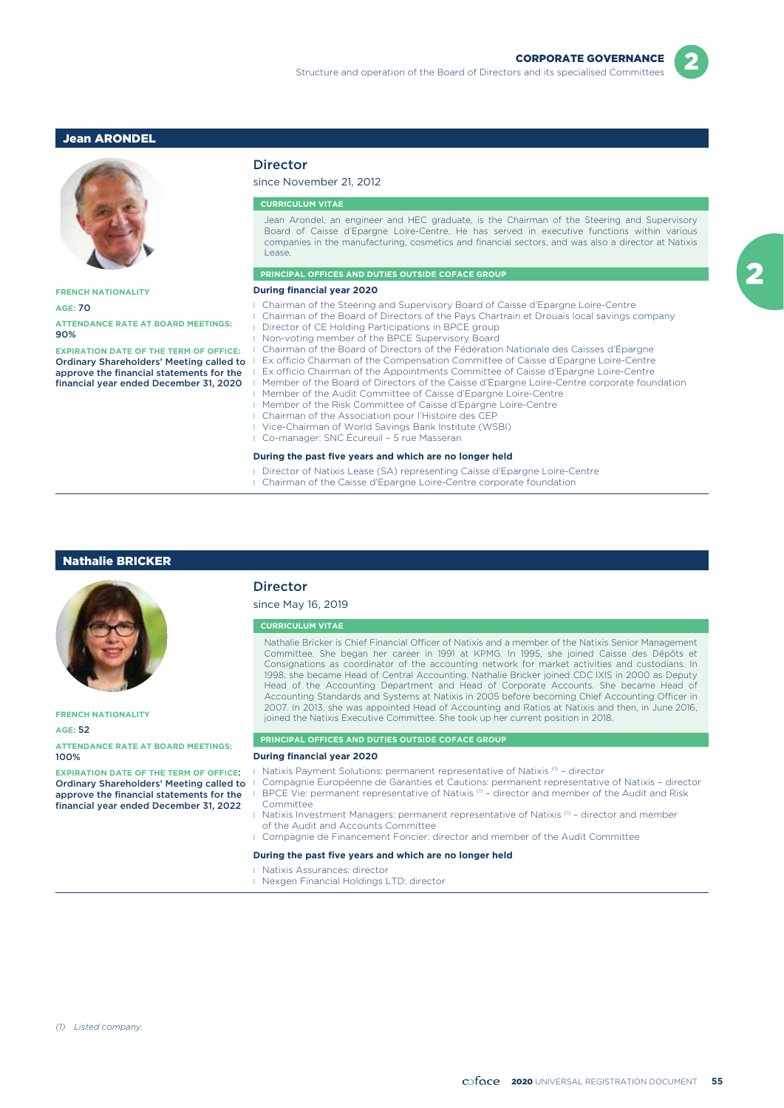### Jean ARONDEL



#### **FRENCH NATIONALITY**

**AGE:** 70

**ATTENDANCE RATE AT BOARD MEETINGS:** 90%

**EXPIRATION DATE OF THE TERM OF OFFICE:** Ordinary Shareholders' Meeting called to approve the financial statements for the financial year ended December 31, 2020

### Director

### since November 21, 2012

#### **CURRICULUM VITAE**

Jean Arondel, an engineer and HEC graduate, is the Chairman of the Steering and Supervisory Board of Caisse d'Epargne Loire-Centre. He has served in executive functions within various companies in the manufacturing, cosmetics and financial sectors, and was also a director at Natixis Lease.

#### **PRINCIPAL OFFICES AND DUTIES OUTSIDE COFACE GROUP**

#### **During financial year 2020**

- l Chairman of the Steering and Supervisory Board of Caisse d'Epargne Loire-Centre
- l Chairman of the Board of Directors of the Pays Chartrain et Drouais local savings company Director of CE Holding Participations in BPCE group
	- Non-voting member of the BPCE Supervisory Board
	- l Chairman of the Board of Directors of the Fédération Nationale des Caisses d'Épargne
	- Ex officio Chairman of the Compensation Committee of Caisse d'Epargne Loire-Centre
- Ex officio Chairman of the Appointments Committee of Caisse d'Epargne Loire-Centre
- l Member of the Board of Directors of the Caisse d'Epargne Loire-Centre corporate foundation
- l Member of the Audit Committee of Caisse d'Epargne Loire-Centre
- l Member of the Risk Committee of Caisse d'Epargne Loire-Centre
- l Chairman of the Association pour l'Histoire des CEP
- l Vice-Chairman of World Savings Bank Institute (WSBI)
- l Co-manager: SNC Écureuil 5 rue Masseran

### **During the past five years and which are no longer held**

- l Director of Natixis Lease (SA) representing Caisse d'Epargne Loire-Centre
- **I** Chairman of the Caisse d'Epargne Loire-Centre corporate foundation

#### Nathalie BRICKER



**FRENCH NATIONALITY**

#### **AGE:** 52

**ATTENDANCE RATE AT BOARD MEETINGS:** 100%

**EXPIRATION DATE OF THE TERM OF OFFICE**: Ordinary Shareholders' Meeting called to approve the financial statements for the financial year ended December 31, 2022

### Director

### since May 16, 2019

#### **CURRICULUM VITAE**

Nathalie Bricker is Chief Financial Officer of Natixis and a member of the Natixis Senior Management Committee. She began her career in 1991 at KPMG. In 1995, she joined Caisse des Dépôts et Consignations as coordinator of the accounting network for market activities and custodians. In 1998, she became Head of Central Accounting. Nathalie Bricker joined CDC IXIS in 2000 as Deputy Head of the Accounting Department and Head of Corporate Accounts. She became Head of Accounting Standards and Systems at Natixis in 2005 before becoming Chief Accounting Officer in 2007. In 2013, she was appointed Head of Accounting and Ratios at Natixis and then, in June 2016, joined the Natixis Executive Committee. She took up her current position in 2018.

### **PRINCIPAL OFFICES AND DUTIES OUTSIDE COFACE GROUP**

### **During financial year 2020**

- $\blacksquare$  Natixis Payment Solutions: permanent representative of Natixis (1) director
- l Compagnie Européenne de Garanties et Cautions: permanent representative of Natixis director BPCE Vie: permanent representative of Natixis  $0 -$  director and member of the Audit and Risk Committee
- I Natixis Investment Managers: permanent representative of Natixis  $^{(1)}$  director and member of the Audit and Accounts Committee
- **I** Compagnie de Financement Foncier: director and member of the Audit Committee

#### **During the past five years and which are no longer held**

- **I** Natixis Assurances: director
- **I** Nexgen Financial Holdings LTD: director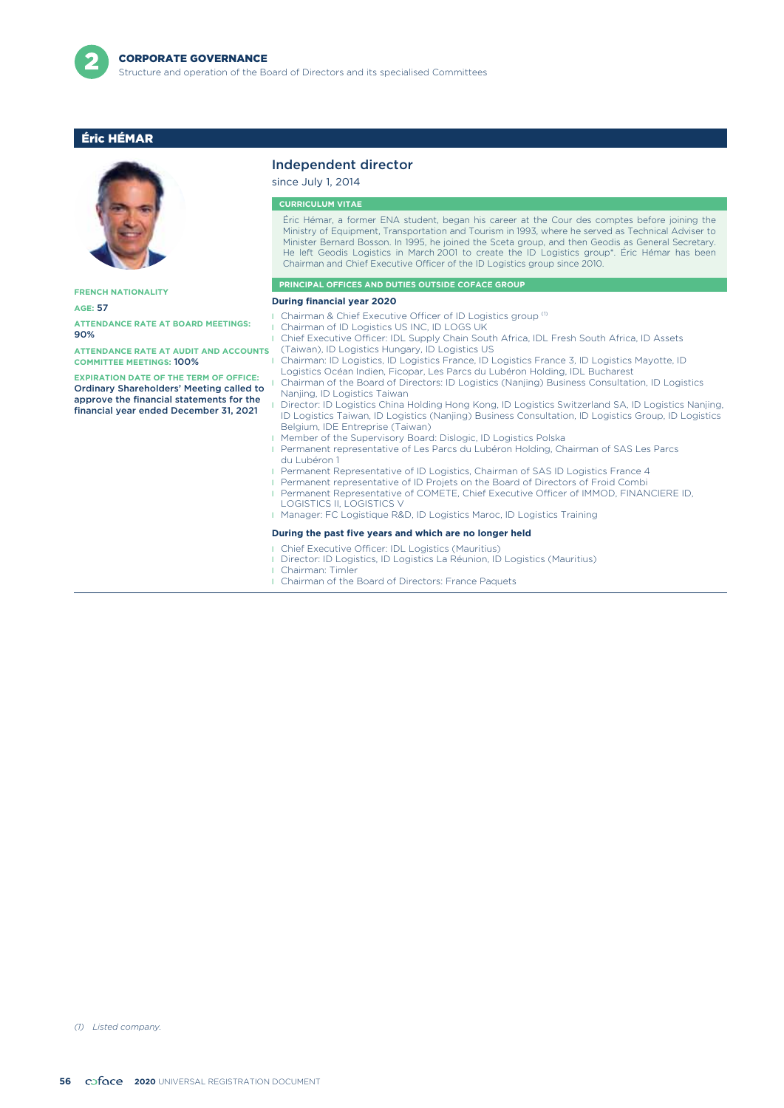

### Éric HÉMAR



**FRENCH NATIONALITY**

**AGE:** 57

**ATTENDANCE RATE AT BOARD MEETINGS:** 90%

**ATTENDANCE RATE AT AUDIT AND ACCOUNTS COMMITTEE MEETINGS:** 100%

**EXPIRATION DATE OF THE TERM OF OFFICE:** Ordinary Shareholders' Meeting called to approve the financial statements for the financial year ended December 31, 2021

### Independent director

since July 1, 2014 **CURRICULUM VITAE**

Éric Hémar, a former ENA student, began his career at the Cour des comptes before joining the Ministry of Equipment, Transportation and Tourism in 1993, where he served as Technical Adviser to Minister Bernard Bosson. In 1995, he joined the Sceta group, and then Geodis as General Secretary. He left Geodis Logistics in March 2001 to create the ID Logistics group\*. Éric Hémar has been Chairman and Chief Executive Officer of the ID Logistics group since 2010.

#### **PRINCIPAL OFFICES AND DUTIES OUTSIDE COFACE GROUP**

#### **During financial year 2020**

- **I** Chairman & Chief Executive Officer of ID Logistics group<sup>(1)</sup>
	- Chairman of ID Logistics US INC, ID LOGS UK
- l Chief Executive Officer: IDL Supply Chain South Africa, IDL Fresh South Africa, ID Assets (Taiwan), ID Logistics Hungary, ID Logistics US
- l Chairman: ID Logistics, ID Logistics France, ID Logistics France 3, ID Logistics Mayotte, ID Logistics Océan Indien, Ficopar, Les Parcs du Lubéron Holding, IDL Bucharest
- l Chairman of the Board of Directors: ID Logistics (Nanjing) Business Consultation, ID Logistics Nanjing, ID Logistics Taiwan
- l Director: ID Logistics China Holding Hong Kong, ID Logistics Switzerland SA, ID Logistics Nanjing, ID Logistics Taiwan, ID Logistics (Nanjing) Business Consultation, ID Logistics Group, ID Logistics Belgium, IDE Entreprise (Taiwan)
- **I** Member of the Supervisory Board: Dislogic, ID Logistics Polska
- l Permanent representative of Les Parcs du Lubéron Holding, Chairman of SAS Les Parcs du Lubéron 1
- **I** Permanent Representative of ID Logistics, Chairman of SAS ID Logistics France 4
- **Permanent representative of ID Projets on the Board of Directors of Froid Combi**
- **Permanent Representative of COMETE, Chief Executive Officer of IMMOD, FINANCIERE ID,** LOGISTICS II, LOGISTICS V
- l Manager: FC Logistique R&D, ID Logistics Maroc, ID Logistics Training

#### **During the past five years and which are no longer held**

- l Chief Executive Officer: IDL Logistics (Mauritius)
	- l Director: ID Logistics, ID Logistics La Réunion, ID Logistics (Mauritius)
- l Chairman: Timler
- **I** Chairman of the Board of Directors: France Paquets

*(1) Listed company.*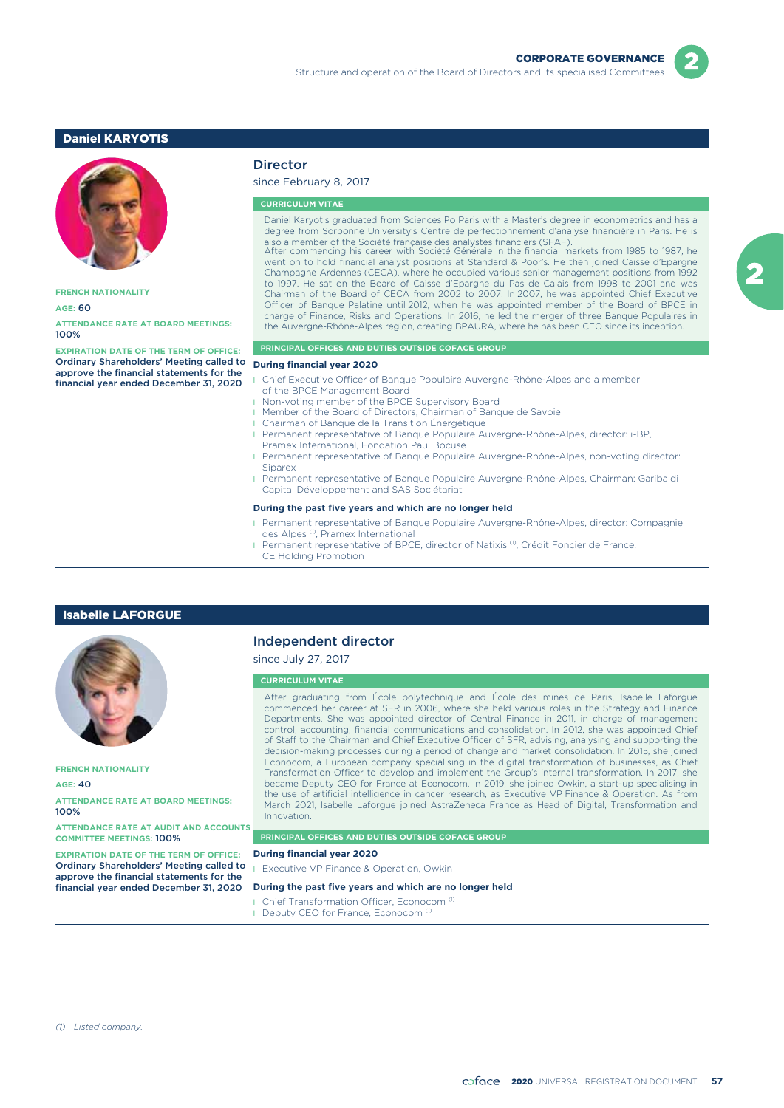### Daniel KARYOTIS



**FRENCH NATIONALITY**

#### **AGE:** 60

**ATTENDANCE RATE AT BOARD MEETINGS:** 100%

**EXPIRATION DATE OF THE TERM OF OFFICE:** Ordinary Shareholders' Meeting called to **During financial year 2020** approve the financial statements for the financial year ended December 31, 2020

### **Director**

### since February 8, 2017

#### **CURRICULUM VITAE**

Daniel Karyotis graduated from Sciences Po Paris with a Master's degree in econometrics and has a degree from Sorbonne University's Centre de perfectionnement d'analyse financière in Paris. He is also a member of the Société française des analystes financiers (SFAF). After commencing his career with Société Générale in the financial markets from 1985 to 1987, he

went on to hold financial analyst positions at Standard & Poor's. He then joined Caisse d'Epargne Champagne Ardennes (CECA), where he occupied various senior management positions from 1992 to 1997. He sat on the Board of Caisse d'Epargne du Pas de Calais from 1998 to 2001 and was Chairman of the Board of CECA from 2002 to 2007. In 2007, he was appointed Chief Executive Officer of Banque Palatine until 2012, when he was appointed member of the Board of BPCE in charge of Finance, Risks and Operations. In 2016, he led the merger of three Banque Populaires in the Auvergne-Rhône-Alpes region, creating BPAURA, where he has been CEO since its inception.

### **PRINCIPAL OFFICES AND DUTIES OUTSIDE COFACE GROUP**

- **I** Chief Executive Officer of Banque Populaire Auvergne-Rhône-Alpes and a member of the BPCE Management Board
- **I** Non-voting member of the BPCE Supervisory Board
- **I** Member of the Board of Directors, Chairman of Banque de Savoie
- l Chairman of Banque de la Transition Énergétique
- l Permanent representative of Banque Populaire Auvergne-Rhône-Alpes, director: i-BP, Pramex International, Fondation Paul Bocuse
- l Permanent representative of Banque Populaire Auvergne-Rhône-Alpes, non-voting director: Siparex
- l Permanent representative of Banque Populaire Auvergne-Rhône-Alpes, Chairman: Garibaldi Capital Développement and SAS Sociétariat

#### **During the past five years and which are no longer held**

- l Permanent representative of Banque Populaire Auvergne-Rhône-Alpes, director: Compagnie
- des Alpes<sup>(1)</sup>, Pramex International
- Permanent representative of BPCE, director of Natixis <sup>(1)</sup>, Crédit Foncier de France, CE Holding Promotion

### Isabelle LAFORGUE



**FRENCH NATIONALITY**

**AGE:** 40

**ATTENDANCE RATE AT BOARD MEETINGS:** 100%

**ATTENDANCE RATE AT AUDIT AND ACCOUNTS COMMITTEE MEETINGS:** 100%

**EXPIRATION DATE OF THE TERM OF OFFICE:** Ordinary Shareholders' Meeting called to approve the financial statements for the financial year ended December 31, 2020

### Independent director

### since July 27, 2017

#### **CURRICULUM VITAE**

After graduating from École polytechnique and École des mines de Paris, Isabelle Laforgue commenced her career at SFR in 2006, where she held various roles in the Strategy and Finance Departments. She was appointed director of Central Finance in 2011, in charge of management control, accounting, financial communications and consolidation. In 2012, she was appointed Chief of Staff to the Chairman and Chief Executive Officer of SFR, advising, analysing and supporting the decision-making processes during a period of change and market consolidation. In 2015, she joined Econocom, a European company specialising in the digital transformation of businesses, as Chief Transformation Officer to develop and implement the Group's internal transformation. In 2017, she became Deputy CEO for France at Econocom. In 2019, she joined Owkin, a start-up specialising in the use of artificial intelligence in cancer research, as Executive VP Finance & Operation. As from March 2021, Isabelle Laforgue joined AstraZeneca France as Head of Digital, Transformation and Innovation.

#### **PRINCIPAL OFFICES AND DUTIES OUTSIDE COFACE GROUP**

#### **During financial year 2020**

**I** Executive VP Finance & Operation, Owkin

#### **During the past five years and which are no longer held**

- Chief Transformation Officer, Econocom<sup>(1)</sup>
- Deputy CEO for France, Econocom<sup>(1)</sup>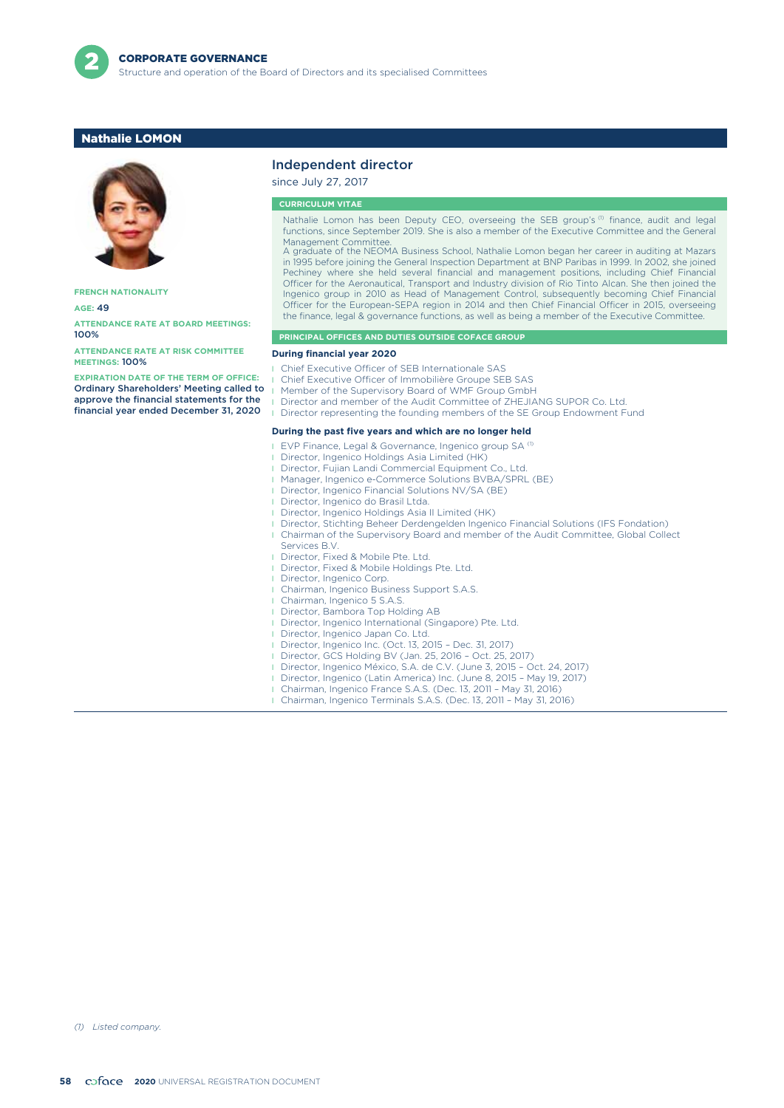

### Nathalie LOMON



**FRENCH NATIONALITY**

**AGE:** 49

**ATTENDANCE RATE AT BOARD MEETINGS:** 100%

**ATTENDANCE RATE AT RISK COMMITTEE MEETINGS:** 100%

**EXPIRATION DATE OF THE TERM OF OFFICE:** Ordinary Shareholders' Meeting called to approve the financial statements for the financial year ended December 31, 2020

### Independent director

since July 27, 2017

**CURRICULUM VITAE**

Nathalie Lomon has been Deputy CEO, overseeing the SEB group's (1) finance, audit and legal functions, since September 2019. She is also a member of the Executive Committee and the General Management Committee. A graduate of the NEOMA Business School, Nathalie Lomon began her career in auditing at Mazars

in 1995 before joining the General Inspection Department at BNP Paribas in 1999. In 2002, she joined Pechiney where she held several financial and management positions, including Chief Financial Officer for the Aeronautical, Transport and Industry division of Rio Tinto Alcan. She then joined the Ingenico group in 2010 as Head of Management Control, subsequently becoming Chief Financial Officer for the European-SEPA region in 2014 and then Chief Financial Officer in 2015, overseeing the finance, legal & governance functions, as well as being a member of the Executive Committee.

#### **PRINCIPAL OFFICES AND DUTIES OUTSIDE COFACE GROUP**

#### **During financial year 2020**

- Chief Executive Officer of SEB Internationale SAS
- Chief Executive Officer of Immobilière Groupe SEB SAS
- Member of the Supervisory Board of WMF Group GmbH
- Director and member of the Audit Committee of ZHEJIANG SUPOR Co. Ltd.
- Director representing the founding members of the SE Group Endowment Fund

#### **During the past five years and which are no longer held**

- **EVP Finance, Legal & Governance, Ingenico group SA (1)**
- Director, Ingenico Holdings Asia Limited (HK)
- Director, Fujian Landi Commercial Equipment Co., Ltd.
- Manager, Ingenico e-Commerce Solutions BVBA/SPRL (BE)
- Director, Ingenico Financial Solutions NV/SA (BE)
- **I** Director, Ingenico do Brasil Ltda.
- Director, Ingenico Holdings Asia II Limited (HK)
- Director, Stichting Beheer Derdengelden Ingenico Financial Solutions (IFS Fondation)
- l Chairman of the Supervisory Board and member of the Audit Committee, Global Collect Services B.V.
- **I** Director, Fixed & Mobile Pte. Ltd.
- **I** Director, Fixed & Mobile Holdings Pte. Ltd.
- Director, Ingenico Corp.
- l Chairman, Ingenico Business Support S.A.S.
- Chairman, Ingenico 5 S.A.S.
- **I** Director, Bambora Top Holding AB
- Director, Ingenico International (Singapore) Pte. Ltd.
- **I** Director, Ingenico Japan Co. Ltd.
- l Director, Ingenico Inc. (Oct. 13, 2015 Dec. 31, 2017) l Director, GCS Holding BV (Jan. 25, 2016 – Oct. 25, 2017)
- 
- Director, Ingenico México, S.A. de C.V. (June 3, 2015 Oct. 24, 2017)
- l Director, Ingenico (Latin America) Inc. (June 8, 2015 May 19, 2017) l Chairman, Ingenico France S.A.S. (Dec. 13, 2011 – May 31, 2016)
- l Chairman, Ingenico Terminals S.A.S. (Dec. 13, 2011 May 31, 2016)

*(1) Listed company.*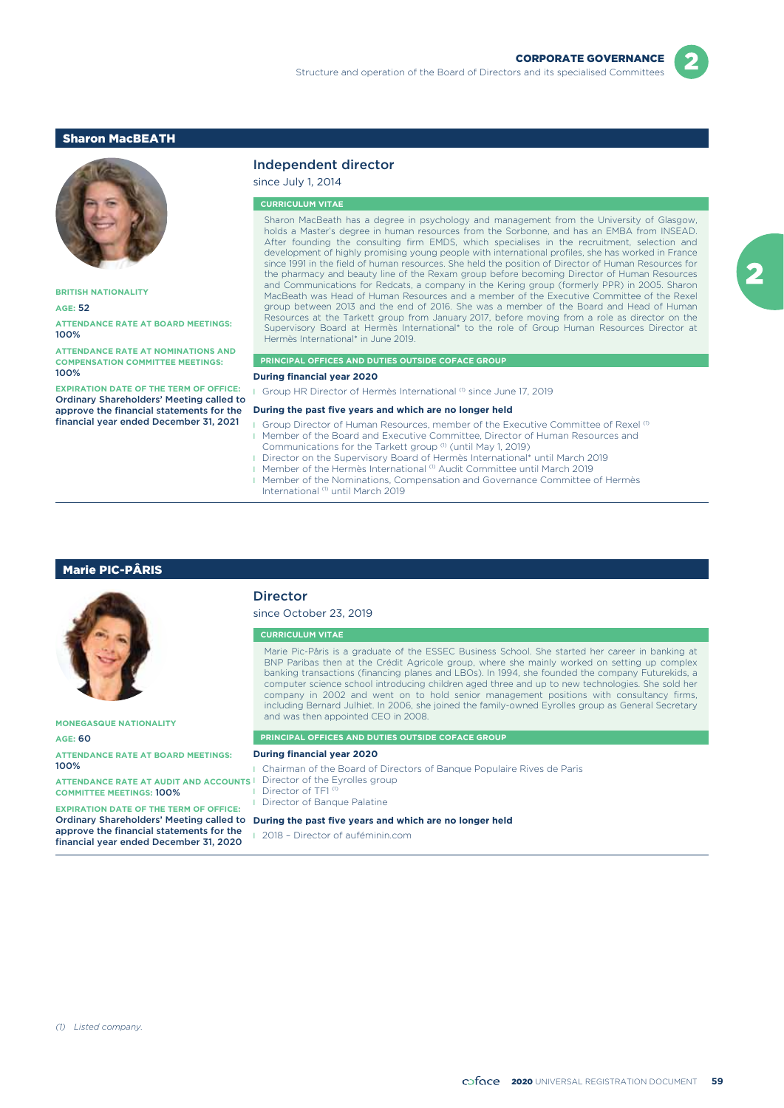### Sharon MacBEATH



**BRITISH NATIONALITY**

### **AGE:** 52

**ATTENDANCE RATE AT BOARD MEETINGS:** 100%

**ATTENDANCE RATE AT NOMINATIONS AND COMPENSATION COMMITTEE MEETINGS:** 100%

**EXPIRATION DATE OF THE TERM OF OFFICE:** Ordinary Shareholders' Meeting called to approve the financial statements for the financial year ended December 31, 2021

### Independent director

since July 1, 2014

#### **CURRICULUM VITAE**

Sharon MacBeath has a degree in psychology and management from the University of Glasgow, holds a Master's degree in human resources from the Sorbonne, and has an EMBA from INSEAD. After founding the consulting firm EMDS, which specialises in the recruitment, selection and development of highly promising young people with international profiles, she has worked in France since 1991 in the field of human resources. She held the position of Director of Human Resources for the pharmacy and beauty line of the Rexam group before becoming Director of Human Resources and Communications for Redcats, a company in the Kering group (formerly PPR) in 2005. Sharon MacBeath was Head of Human Resources and a member of the Executive Committee of the Rexel group between 2013 and the end of 2016. She was a member of the Board and Head of Human Resources at the Tarkett group from January 2017, before moving from a role as director on the Supervisory Board at Hermès International\* to the role of Group Human Resources Director at Hermès International\* in June 2019.

#### **PRINCIPAL OFFICES AND DUTIES OUTSIDE COFACE GROUP**

#### **During financial year 2020**

Group HR Director of Hermès International (1) since June 17, 2019

#### **During the past five years and which are no longer held**

- Group Director of Human Resources, member of the Executive Committee of Rexel<sup>(1)</sup> **I** Member of the Board and Executive Committee, Director of Human Resources and
- Communications for the Tarkett group (1) (until May 1, 2019)
- **I** Director on the Supervisory Board of Hermès International\* until March 2019
- Member of the Hermès International <sup>(1)</sup> Audit Committee until March 2019
- **I** Member of the Nominations, Compensation and Governance Committee of Hermès International (1) until March 2019

### Marie PIC-PÂRIS

|                                                                                               | <b>Director</b><br>since October 23, 2019                                                                                                                                                                                                                                                                                                                                                                                                                                                                                                                                                                                                         |  |  |  |  |
|-----------------------------------------------------------------------------------------------|---------------------------------------------------------------------------------------------------------------------------------------------------------------------------------------------------------------------------------------------------------------------------------------------------------------------------------------------------------------------------------------------------------------------------------------------------------------------------------------------------------------------------------------------------------------------------------------------------------------------------------------------------|--|--|--|--|
|                                                                                               | <b>CURRICULUM VITAE</b>                                                                                                                                                                                                                                                                                                                                                                                                                                                                                                                                                                                                                           |  |  |  |  |
| <b>MONEGASQUE NATIONALITY</b>                                                                 | Marie Pic-Pâris is a graduate of the ESSEC Business School. She started her career in banking at<br>BNP Paribas then at the Crédit Agricole group, where she mainly worked on setting up complex<br>banking transactions (financing planes and LBOs). In 1994, she founded the company Futurekids, a<br>computer science school introducing children aged three and up to new technologies. She sold her<br>company in 2002 and went on to hold senior management positions with consultancy firms,<br>including Bernard Julhiet. In 2006, she joined the family-owned Eyrolles group as General Secretary<br>and was then appointed CEO in 2008. |  |  |  |  |
|                                                                                               |                                                                                                                                                                                                                                                                                                                                                                                                                                                                                                                                                                                                                                                   |  |  |  |  |
| <b>AGE: 60</b>                                                                                | <b>PRINCIPAL OFFICES AND DUTIES OUTSIDE COFACE GROUP</b>                                                                                                                                                                                                                                                                                                                                                                                                                                                                                                                                                                                          |  |  |  |  |
| <b>ATTENDANCE RATE AT BOARD MEETINGS:</b>                                                     | <b>During financial year 2020</b>                                                                                                                                                                                                                                                                                                                                                                                                                                                                                                                                                                                                                 |  |  |  |  |
| 100%                                                                                          | <b>I</b> Chairman of the Board of Directors of Bangue Populaire Rives de Paris                                                                                                                                                                                                                                                                                                                                                                                                                                                                                                                                                                    |  |  |  |  |
| <b>ATTENDANCE RATE AT AUDIT AND ACCOUNTS</b><br><b>COMMITTEE MEETINGS: 100%</b>               | Director of the Eyrolles group<br>Director of TF1 <sup>(1)</sup><br>Director of Banque Palatine                                                                                                                                                                                                                                                                                                                                                                                                                                                                                                                                                   |  |  |  |  |
| <b>EXPIRATION DATE OF THE TERM OF OFFICE:</b>                                                 |                                                                                                                                                                                                                                                                                                                                                                                                                                                                                                                                                                                                                                                   |  |  |  |  |
| <b>Ordinary Shareholders' Meeting called to</b>                                               | During the past five years and which are no longer held                                                                                                                                                                                                                                                                                                                                                                                                                                                                                                                                                                                           |  |  |  |  |
| approve the financial statements for the<br>fluidade la composición de la conclusión 71, 0000 | 2018 - Director of auféminin.com                                                                                                                                                                                                                                                                                                                                                                                                                                                                                                                                                                                                                  |  |  |  |  |

financial year ended December 31, 2020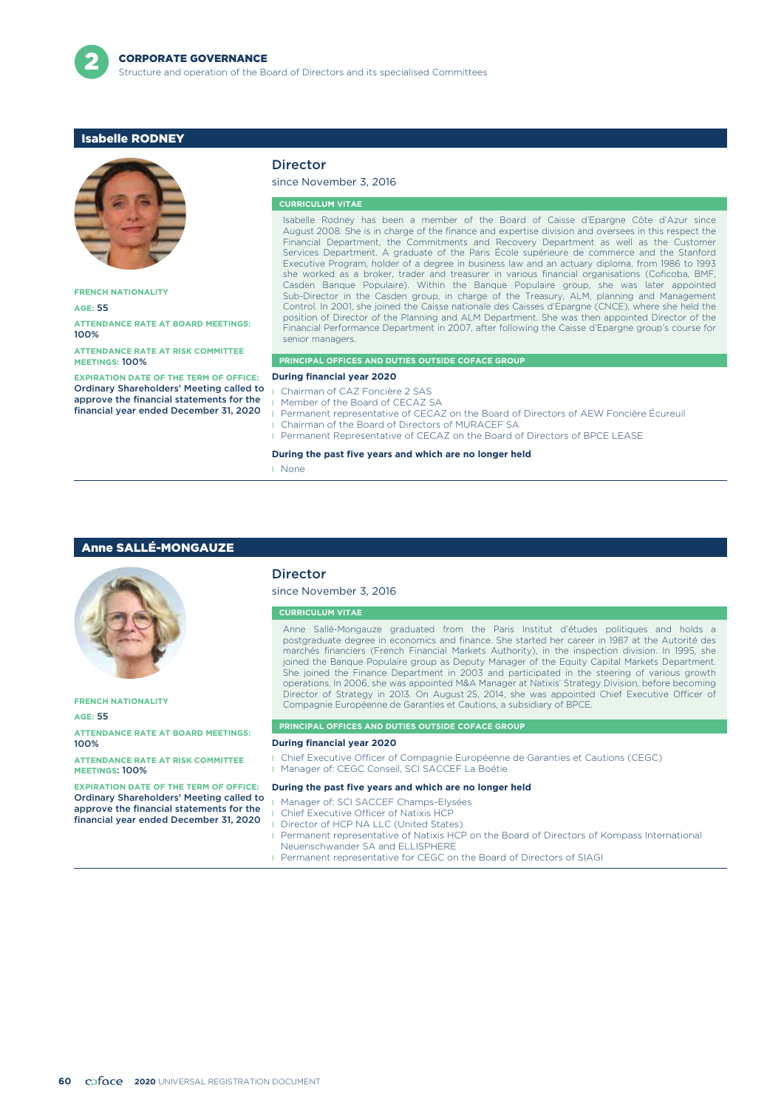

### Isabelle RODNEY



**FRENCH NATIONALITY**

**AGE:** 55

**ATTENDANCE RATE AT BOARD MEETINGS:** 100%

**ATTENDANCE RATE AT RISK COMMITTEE MEETINGS:** 100%

**EXPIRATION DATE OF THE TERM OF OFFICE:** Ordinary Shareholders' Meeting called to approve the financial statements for the financial year ended December 31, 2020

### Director

### since November 3, 2016

#### **CURRICULUM VITAE**

Isabelle Rodney has been a member of the Board of Caisse d'Epargne Côte d'Azur since August 2008. She is in charge of the finance and expertise division and oversees in this respect the Financial Department, the Commitments and Recovery Department as well as the Customer Services Department. A graduate of the Paris École supérieure de commerce and the Stanford Executive Program, holder of a degree in business law and an actuary diploma, from 1986 to 1993 she worked as a broker, trader and treasurer in various financial organisations (Coficoba, BMF, Casden Banque Populaire). Within the Banque Populaire group, she was later appointed Sub-Director in the Casden group, in charge of the Treasury, ALM, planning and Management Control. In 2001, she joined the Caisse nationale des Caisses d'Epargne (CNCE), where she held the position of Director of the Planning and ALM Department. She was then appointed Director of the Financial Performance Department in 2007, after following the Caisse d'Epargne group's course for senior managers.

#### **PRINCIPAL OFFICES AND DUTIES OUTSIDE COFACE GROUP**

#### **During financial year 2020**

- Chairman of CAZ Foncière 2 SAS
- Member of the Board of CECAZ SA
- l Permanent representative of CECAZ on the Board of Directors of AEW Foncière Écureuil
- l Chairman of the Board of Directors of MURACEF SA
- Permanent Representative of CECAZ on the Board of Directors of BPCE LEASE

#### **During the past five years and which are no longer held**

l None

### Anne SALLÉ-MONGAUZE



**FRENCH NATIONALITY**

#### **AGE:** 55

**ATTENDANCE RATE AT BOARD MEETINGS:** 100%

**ATTENDANCE RATE AT RISK COMMITTEE MEETINGS**: 100%

**EXPIRATION DATE OF THE TERM OF OFFICE:** Ordinary Shareholders' Meeting called to approve the financial statements for the financial year ended December 31, 2020

### Director

since November 3, 2016

#### **CURRICULUM VITAE**

Anne Sallé-Mongauze graduated from the Paris Institut d'études politiques and holds a postgraduate degree in economics and finance. She started her career in 1987 at the Autorité des marchés financiers (French Financial Markets Authority), in the inspection division. In 1995, she joined the Banque Populaire group as Deputy Manager of the Equity Capital Markets Department. She joined the Finance Department in 2003 and participated in the steering of various growth operations. In 2006, she was appointed M&A Manager at Natixis' Strategy Division, before becoming Director of Strategy in 2013. On August 25, 2014, she was appointed Chief Executive Officer of Compagnie Européenne de Garanties et Cautions, a subsidiary of BPCE.

#### **PRINCIPAL OFFICES AND DUTIES OUTSIDE COFACE GROUP**

#### **During financial year 2020**

- l Chief Executive Officer of Compagnie Européenne de Garanties et Cautions (CEGC)
- **I** Manager of: CEGC Conseil, SCI SACCEF La Boétie

#### **During the past five years and which are no longer held**

- l Manager of: SCI SACCEF Champs-Elysées
- l Chief Executive Officer of Natixis HCP
- **I** Director of HCP NA LLC (United States)
- **I** Permanent representative of Natixis HCP on the Board of Directors of Kompass International Neuenschwander SA and ELLISPHERE
- **I** Permanent representative for CEGC on the Board of Directors of SIAGI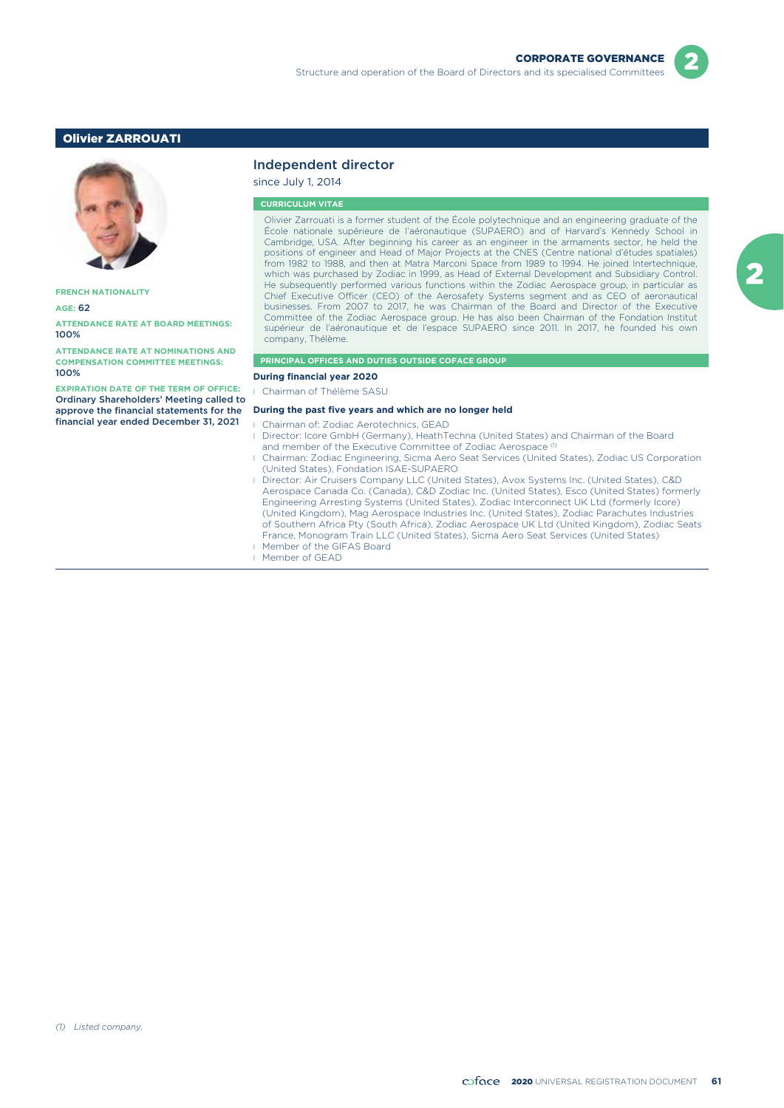### Olivier ZARROUATI



**FRENCH NATIONALITY**

#### **AGE:** 62

**ATTENDANCE RATE AT BOARD MEETINGS:** 100%

**ATTENDANCE RATE AT NOMINATIONS AND COMPENSATION COMMITTEE MEETINGS:** 100%

**EXPIRATION DATE OF THE TERM OF OFFICE:** Ordinary Shareholders' Meeting called to approve the financial statements for the financial year ended December 31, 2021

### Independent director

since July 1, 2014

#### **CURRICULUM VITAE**

Olivier Zarrouati is a former student of the École polytechnique and an engineering graduate of the École nationale supérieure de l'aéronautique (SUPAERO) and of Harvard's Kennedy School in Cambridge, USA. After beginning his career as an engineer in the armaments sector, he held the positions of engineer and Head of Major Projects at the CNES (Centre national d'études spatiales) from 1982 to 1988, and then at Matra Marconi Space from 1989 to 1994. He joined Intertechnique, which was purchased by Zodiac in 1999, as Head of External Development and Subsidiary Control. He subsequently performed various functions within the Zodiac Aerospace group, in particular as Chief Executive Officer (CEO) of the Aerosafety Systems segment and as CEO of aeronautical businesses. From 2007 to 2017, he was Chairman of the Board and Director of the Executive Committee of the Zodiac Aerospace group. He has also been Chairman of the Fondation Institut supérieur de l'aéronautique et de l'espace SUPAERO since 2011. In 2017, he founded his own company, Thélème.

#### **PRINCIPAL OFFICES AND DUTIES OUTSIDE COFACE GROUP**

**During financial year 2020**

Chairman of Thélème SASU

#### **During the past five years and which are no longer held**

- l Chairman of: Zodiac Aerotechnics, GEAD
- **I** Director: Icore GmbH (Germany), HeathTechna (United States) and Chairman of the Board and member of the Executive Committee of Zodiac Aerospace
- l Chairman: Zodiac Engineering, Sicma Aero Seat Services (United States), Zodiac US Corporation (United States), Fondation ISAE-SUPAERO
- l Director: Air Cruisers Company LLC (United States), Avox Systems Inc. (United States), C&D Aerospace Canada Co. (Canada), C&D Zodiac Inc. (United States), Esco (United States) formerly Engineering Arresting Systems (United States), Zodiac Interconnect UK Ltd (formerly Icore) (United Kingdom), Mag Aerospace Industries Inc. (United States), Zodiac Parachutes Industries of Southern Africa Pty (South Africa), Zodiac Aerospace UK Ltd (United Kingdom), Zodiac Seats France, Monogram Train LLC (United States), Sicma Aero Seat Services (United States)
- Member of the GIFAS Board
- **I** Member of GEAD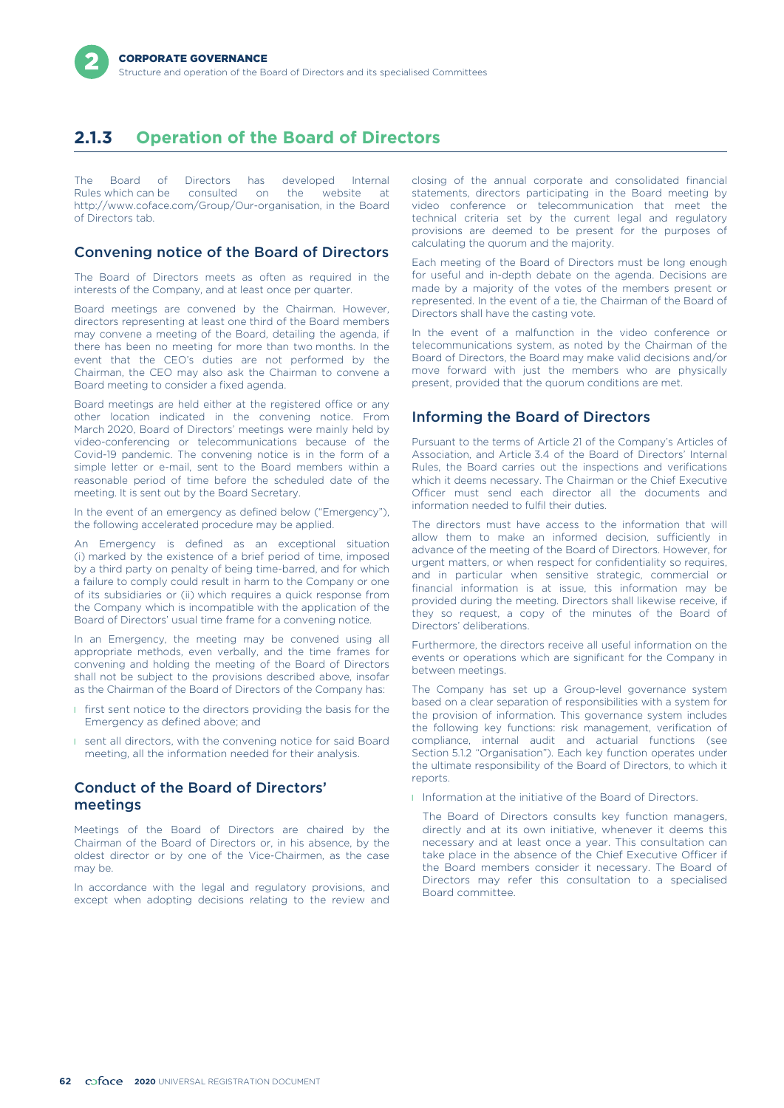# **2.1.3 Operation of the Board of Directors**

The Board of Directors has developed Internal<br>Rules-which-can-be consulted on the website at Rules which can be consulted on the website at http://www.coface.com/Group/Our-organisation, in the Board of Directors tab.

### Convening notice of the Board of Directors

The Board of Directors meets as often as required in the interests of the Company, and at least once per quarter.

Board meetings are convened by the Chairman. However, directors representing at least one third of the Board members may convene a meeting of the Board, detailing the agenda, if there has been no meeting for more than two months. In the event that the CEO's duties are not performed by the Chairman, the CEO may also ask the Chairman to convene a Board meeting to consider a fixed agenda.

Board meetings are held either at the registered office or any other location indicated in the convening notice. From March 2020, Board of Directors' meetings were mainly held by video-conferencing or telecommunications because of the Covid-19 pandemic. The convening notice is in the form of a simple letter or e-mail, sent to the Board members within a reasonable period of time before the scheduled date of the meeting. It is sent out by the Board Secretary.

In the event of an emergency as defined below ("Emergency"), the following accelerated procedure may be applied.

An Emergency is defined as an exceptional situation (i) marked by the existence of a brief period of time, imposed by a third party on penalty of being time-barred, and for which a failure to comply could result in harm to the Company or one of its subsidiaries or (ii) which requires a quick response from the Company which is incompatible with the application of the Board of Directors' usual time frame for a convening notice.

In an Emergency, the meeting may be convened using all appropriate methods, even verbally, and the time frames for convening and holding the meeting of the Board of Directors shall not be subject to the provisions described above, insofar as the Chairman of the Board of Directors of the Company has:

- **I** first sent notice to the directors providing the basis for the Emergency as defined above; and
- **I** sent all directors, with the convening notice for said Board meeting, all the information needed for their analysis.

## Conduct of the Board of Directors' meetings

Meetings of the Board of Directors are chaired by the Chairman of the Board of Directors or, in his absence, by the oldest director or by one of the Vice-Chairmen, as the case may be.

In accordance with the legal and regulatory provisions, and except when adopting decisions relating to the review and closing of the annual corporate and consolidated financial statements, directors participating in the Board meeting by video conference or telecommunication that meet the technical criteria set by the current legal and regulatory provisions are deemed to be present for the purposes of calculating the quorum and the majority.

Each meeting of the Board of Directors must be long enough for useful and in-depth debate on the agenda. Decisions are made by a majority of the votes of the members present or represented. In the event of a tie, the Chairman of the Board of Directors shall have the casting vote.

In the event of a malfunction in the video conference or telecommunications system, as noted by the Chairman of the Board of Directors, the Board may make valid decisions and/or move forward with just the members who are physically present, provided that the quorum conditions are met.

## Informing the Board of Directors

Pursuant to the terms of Article 21 of the Company's Articles of Association, and Article 3.4 of the Board of Directors' Internal Rules, the Board carries out the inspections and verifications which it deems necessary. The Chairman or the Chief Executive Officer must send each director all the documents and information needed to fulfil their duties.

The directors must have access to the information that will allow them to make an informed decision, sufficiently in advance of the meeting of the Board of Directors. However, for urgent matters, or when respect for confidentiality so requires, and in particular when sensitive strategic, commercial or financial information is at issue, this information may be provided during the meeting. Directors shall likewise receive, if they so request, a copy of the minutes of the Board of Directors' deliberations.

Furthermore, the directors receive all useful information on the events or operations which are significant for the Company in between meetings.

The Company has set up a Group-level governance system based on a clear separation of responsibilities with a system for the provision of information. This governance system includes the following key functions: risk management, verification of compliance, internal audit and actuarial functions (see Section 5.1.2 "Organisation"). Each key function operates under the ultimate responsibility of the Board of Directors, to which it reports.

**I** Information at the initiative of the Board of Directors.

The Board of Directors consults key function managers, directly and at its own initiative, whenever it deems this necessary and at least once a year. This consultation can take place in the absence of the Chief Executive Officer if the Board members consider it necessary. The Board of Directors may refer this consultation to a specialised Board committee.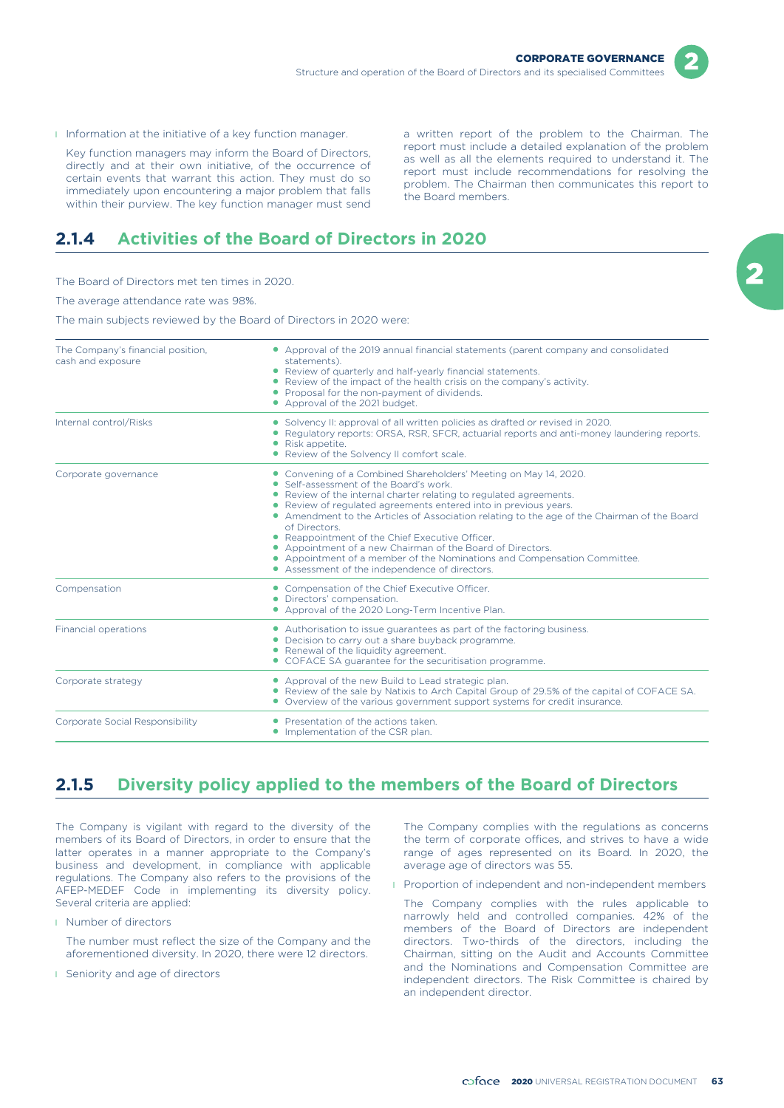- 
- I Information at the initiative of a key function manager. <br>a written report of the problem to the Chairman. The

Key function managers may inform the Board of Directors,<br>directly and at their own initiative, of the occurrence of<br>certain events that warrant this action. They must do so<br>immediately upon encountering a major problem tha

## **2.1.4 Activities of the Board of Directors in 2020**

The Board of Directors met ten times in 2020.

The average attendance rate was 98%.

The main subjects reviewed by the Board of Directors in 2020 were:

| The Company's financial position,<br>cash and exposure | • Approval of the 2019 annual financial statements (parent company and consolidated<br>statements).<br>• Review of quarterly and half-yearly financial statements.<br>• Review of the impact of the health crisis on the company's activity.<br>• Proposal for the non-payment of dividends.<br>• Approval of the 2021 budget.                                                                                                                                                                                                                                                                                      |
|--------------------------------------------------------|---------------------------------------------------------------------------------------------------------------------------------------------------------------------------------------------------------------------------------------------------------------------------------------------------------------------------------------------------------------------------------------------------------------------------------------------------------------------------------------------------------------------------------------------------------------------------------------------------------------------|
| Internal control/Risks                                 | • Solvency II: approval of all written policies as drafted or revised in 2020.<br>• Regulatory reports: ORSA, RSR, SFCR, actuarial reports and anti-money laundering reports.<br>• Risk appetite.<br>• Review of the Solvency II comfort scale.                                                                                                                                                                                                                                                                                                                                                                     |
| Corporate governance                                   | • Convening of a Combined Shareholders' Meeting on May 14, 2020.<br>• Self-assessment of the Board's work.<br>• Review of the internal charter relating to regulated agreements.<br>• Review of regulated agreements entered into in previous years.<br>• Amendment to the Articles of Association relating to the age of the Chairman of the Board<br>of Directors.<br>• Reappointment of the Chief Executive Officer.<br>• Appointment of a new Chairman of the Board of Directors.<br>• Appointment of a member of the Nominations and Compensation Committee.<br>• Assessment of the independence of directors. |
| Compensation                                           | • Compensation of the Chief Executive Officer.<br>• Directors' compensation.<br>• Approval of the 2020 Long-Term Incentive Plan.                                                                                                                                                                                                                                                                                                                                                                                                                                                                                    |
| Financial operations                                   | • Authorisation to issue quarantees as part of the factoring business.<br>• Decision to carry out a share buyback programme.<br>• Renewal of the liquidity agreement.<br>• COFACE SA quarantee for the securitisation programme.                                                                                                                                                                                                                                                                                                                                                                                    |
| Corporate strategy                                     | • Approval of the new Build to Lead strategic plan.<br>• Review of the sale by Natixis to Arch Capital Group of 29.5% of the capital of COFACE SA.<br>• Overview of the various government support systems for credit insurance.                                                                                                                                                                                                                                                                                                                                                                                    |
| Corporate Social Responsibility                        | • Presentation of the actions taken.<br>• Implementation of the CSR plan.                                                                                                                                                                                                                                                                                                                                                                                                                                                                                                                                           |

## **2.1.5 Diversity policy applied to the members of the Board of Directors**

The Company is vigilant with regard to the diversity of the members of its Board of Directors, in order to ensure that the latter operates in a manner appropriate to the Company's business and development, in compliance with applicable regulations. The Company also refers to the provisions of the AFEP-MEDEF Code in implementing its diversity policy. Several criteria are applied:

**I** Number of directors

The number must reflect the size of the Company and the aforementioned diversity. In 2020, there were 12 directors.

**I** Seniority and age of directors

The Company complies with the regulations as concerns the term of corporate offices, and strives to have a wide range of ages represented on its Board. In 2020, the average age of directors was 55.

**Proportion of independent and non-independent members** 

The Company complies with the rules applicable to narrowly held and controlled companies. 42% of the members of the Board of Directors are independent directors. Two-thirds of the directors, including the Chairman, sitting on the Audit and Accounts Committee and the Nominations and Compensation Committee are independent directors. The Risk Committee is chaired by an independent director.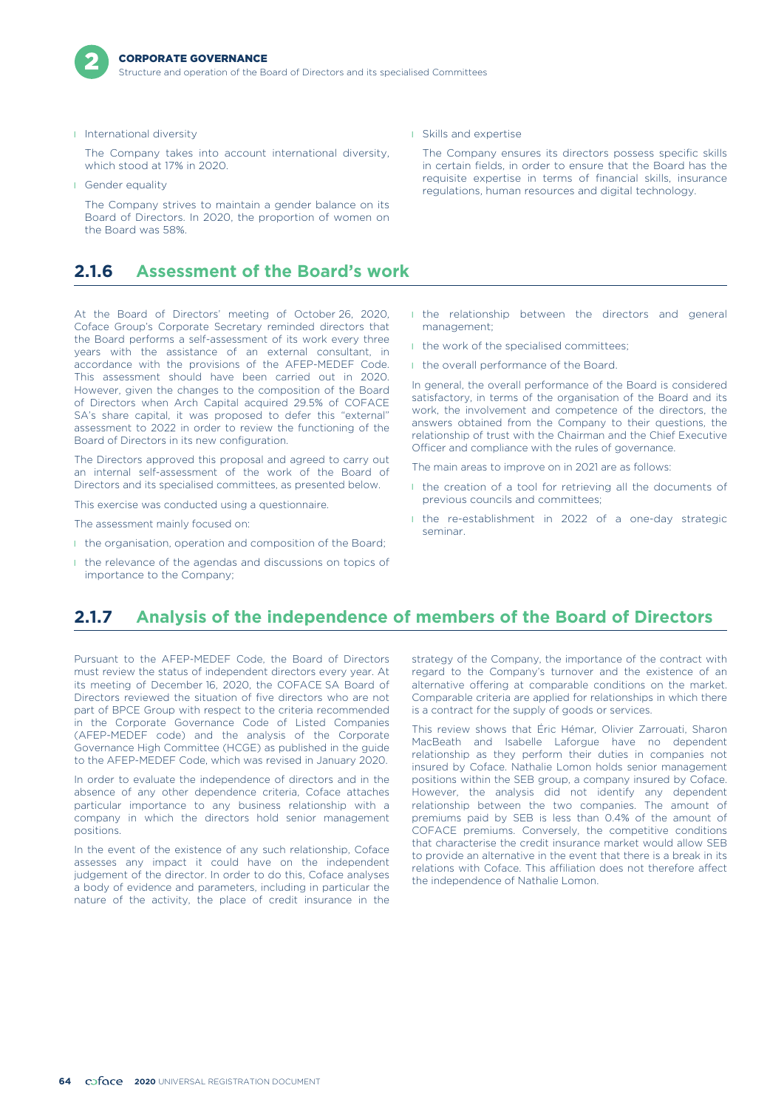

**I** International diversity

The Company takes into account international diversity, which stood at 17% in 2020.

l Gender equality

The Company strives to maintain a gender balance on its Board of Directors. In 2020, the proportion of women on the Board was 58%.

## **2.1.6 Assessment of the Board's work**

At the Board of Directors' meeting of October 26, 2020, Coface Group's Corporate Secretary reminded directors that the Board performs a self-assessment of its work every three years with the assistance of an external consultant, in accordance with the provisions of the AFEP-MEDEF Code. This assessment should have been carried out in 2020. However, given the changes to the composition of the Board of Directors when Arch Capital acquired 29.5% of COFACE SA's share capital, it was proposed to defer this "external" assessment to 2022 in order to review the functioning of the Board of Directors in its new configuration.

The Directors approved this proposal and agreed to carry out an internal self-assessment of the work of the Board of Directors and its specialised committees, as presented below.

This exercise was conducted using a questionnaire.

The assessment mainly focused on:

- I the organisation, operation and composition of the Board;
- I the relevance of the agendas and discussions on topics of importance to the Company;

**I** Skills and expertise

The Company ensures its directors possess specific skills in certain fields, in order to ensure that the Board has the requisite expertise in terms of financial skills, insurance regulations, human resources and digital technology.

- **I** the relationship between the directors and general management;
- I the work of the specialised committees;
- **I** the overall performance of the Board.

In general, the overall performance of the Board is considered satisfactory, in terms of the organisation of the Board and its work, the involvement and competence of the directors, the answers obtained from the Company to their questions, the relationship of trust with the Chairman and the Chief Executive Officer and compliance with the rules of governance.

The main areas to improve on in 2021 are as follows:

- I the creation of a tool for retrieving all the documents of previous councils and committees;
- l the re-establishment in 2022 of a one-day strategic seminar.

## **2.1.7 Analysis of the independence of members of the Board of Directors**

Pursuant to the AFEP-MEDEF Code, the Board of Directors must review the status of independent directors every year. At its meeting of December 16, 2020, the COFACE SA Board of Directors reviewed the situation of five directors who are not part of BPCE Group with respect to the criteria recommended in the Corporate Governance Code of Listed Companies (AFEP-MEDEF code) and the analysis of the Corporate Governance High Committee (HCGE) as published in the guide to the AFEP-MEDEF Code, which was revised in January 2020.

In order to evaluate the independence of directors and in the absence of any other dependence criteria, Coface attaches particular importance to any business relationship with a company in which the directors hold senior management positions.

In the event of the existence of any such relationship, Coface assesses any impact it could have on the independent judgement of the director. In order to do this, Coface analyses a body of evidence and parameters, including in particular the nature of the activity, the place of credit insurance in the

strategy of the Company, the importance of the contract with regard to the Company's turnover and the existence of an alternative offering at comparable conditions on the market. Comparable criteria are applied for relationships in which there is a contract for the supply of goods or services.

This review shows that Éric Hémar, Olivier Zarrouati, Sharon MacBeath and Isabelle Laforgue have no dependent relationship as they perform their duties in companies not insured by Coface. Nathalie Lomon holds senior management positions within the SEB group, a company insured by Coface. However, the analysis did not identify any dependent relationship between the two companies. The amount of premiums paid by SEB is less than 0.4% of the amount of COFACE premiums. Conversely, the competitive conditions that characterise the credit insurance market would allow SEB to provide an alternative in the event that there is a break in its relations with Coface. This affiliation does not therefore affect the independence of Nathalie Lomon.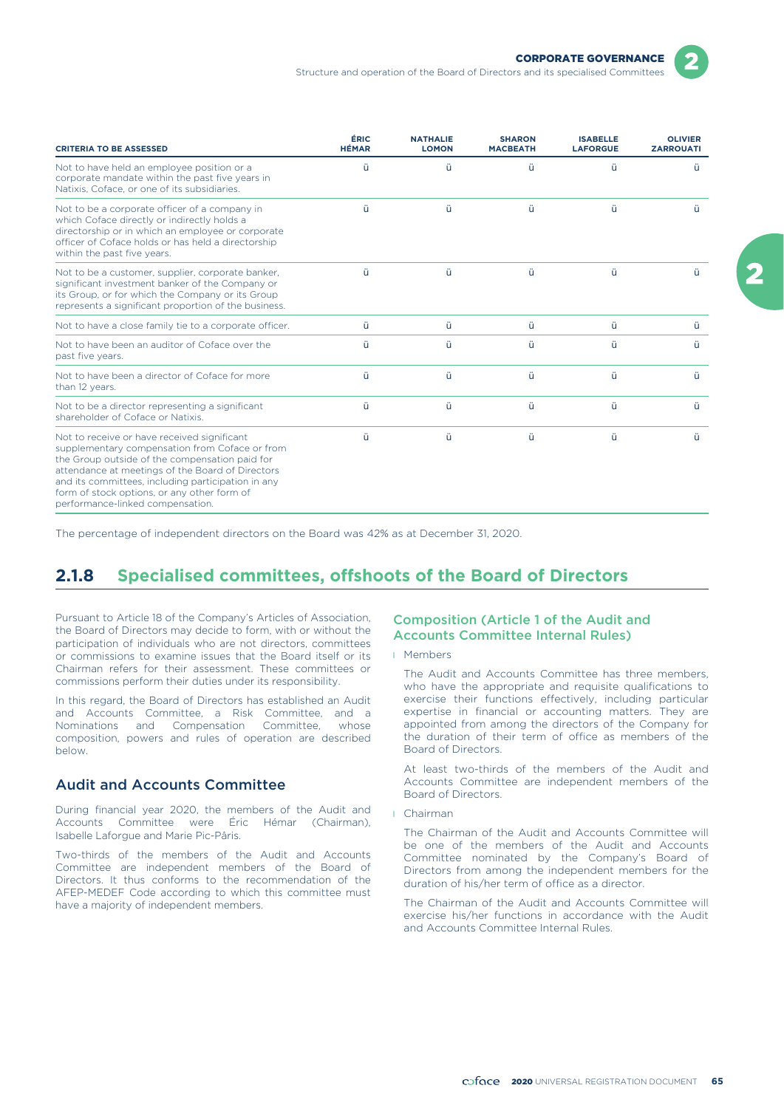

Structure and operation of the Board of Directors and its specialised Committees

| <b>CRITERIA TO BE ASSESSED</b>                                                                                                                                                                                                                                                                                                               | ÉRIC<br><b>HÉMAR</b> | <b>NATHALIE</b><br><b>LOMON</b> | <b>SHARON</b><br><b>MACBEATH</b> | <b>ISABELLE</b><br><b>LAFORGUE</b> | <b>OLIVIER</b><br><b>ZARROUATI</b> |
|----------------------------------------------------------------------------------------------------------------------------------------------------------------------------------------------------------------------------------------------------------------------------------------------------------------------------------------------|----------------------|---------------------------------|----------------------------------|------------------------------------|------------------------------------|
| Not to have held an employee position or a<br>corporate mandate within the past five years in<br>Natixis, Coface, or one of its subsidiaries.                                                                                                                                                                                                | ü                    | ü                               | ü                                | ü                                  | ü                                  |
| Not to be a corporate officer of a company in<br>which Coface directly or indirectly holds a<br>directorship or in which an employee or corporate<br>officer of Coface holds or has held a directorship<br>within the past five years.                                                                                                       | ü                    | ü                               | ü                                | ü                                  | ü                                  |
| Not to be a customer, supplier, corporate banker,<br>significant investment banker of the Company or<br>its Group, or for which the Company or its Group<br>represents a significant proportion of the business.                                                                                                                             | ü                    | ü                               | ü                                | ü                                  | ü                                  |
| Not to have a close family tie to a corporate officer.                                                                                                                                                                                                                                                                                       | ü                    | ü                               | ü                                | ü                                  | ü                                  |
| Not to have been an auditor of Coface over the<br>past five years.                                                                                                                                                                                                                                                                           | ü                    | ü                               | ü                                | ü                                  | ü                                  |
| Not to have been a director of Coface for more<br>than 12 years.                                                                                                                                                                                                                                                                             | ü                    | ü                               | ü                                | ü                                  | ü                                  |
| Not to be a director representing a significant<br>shareholder of Coface or Natixis.                                                                                                                                                                                                                                                         | ü                    | ü                               | ü                                | ü                                  | ü                                  |
| Not to receive or have received significant<br>supplementary compensation from Coface or from<br>the Group outside of the compensation paid for<br>attendance at meetings of the Board of Directors<br>and its committees, including participation in any<br>form of stock options, or any other form of<br>performance-linked compensation. | ü                    | ü                               | ü                                | ü                                  | ü                                  |

The percentage of independent directors on the Board was 42% as at December 31, 2020.

# **2.1.8 Specialised committees, offshoots of the Board of Directors**

Pursuant to Article 18 of the Company's Articles of Association, the Board of Directors may decide to form, with or without the participation of individuals who are not directors, committees or commissions to examine issues that the Board itself or its Chairman refers for their assessment. These committees or commissions perform their duties under its responsibility.

In this regard, the Board of Directors has established an Audit and Accounts Committee, a Risk Committee, and a Nominations and Compensation Committee, whose composition, powers and rules of operation are described below.

### Audit and Accounts Committee

During financial year 2020, the members of the Audit and Accounts Committee were Éric Hémar (Chairman), Isabelle Laforgue and Marie Pic-Pâris.

Two-thirds of the members of the Audit and Accounts Committee are independent members of the Board of Directors. It thus conforms to the recommendation of the AFEP-MEDEF Code according to which this committee must have a majority of independent members.

### Composition (Article 1 of the Audit and Accounts Committee Internal Rules)

### l Members

The Audit and Accounts Committee has three members, who have the appropriate and requisite qualifications to exercise their functions effectively, including particular expertise in financial or accounting matters. They are appointed from among the directors of the Company for the duration of their term of office as members of the Board of Directors.

At least two-thirds of the members of the Audit and Accounts Committee are independent members of the Board of Directors.

l Chairman

The Chairman of the Audit and Accounts Committee will be one of the members of the Audit and Accounts Committee nominated by the Company's Board of Directors from among the independent members for the duration of his/her term of office as a director.

The Chairman of the Audit and Accounts Committee will exercise his/her functions in accordance with the Audit and Accounts Committee Internal Rules.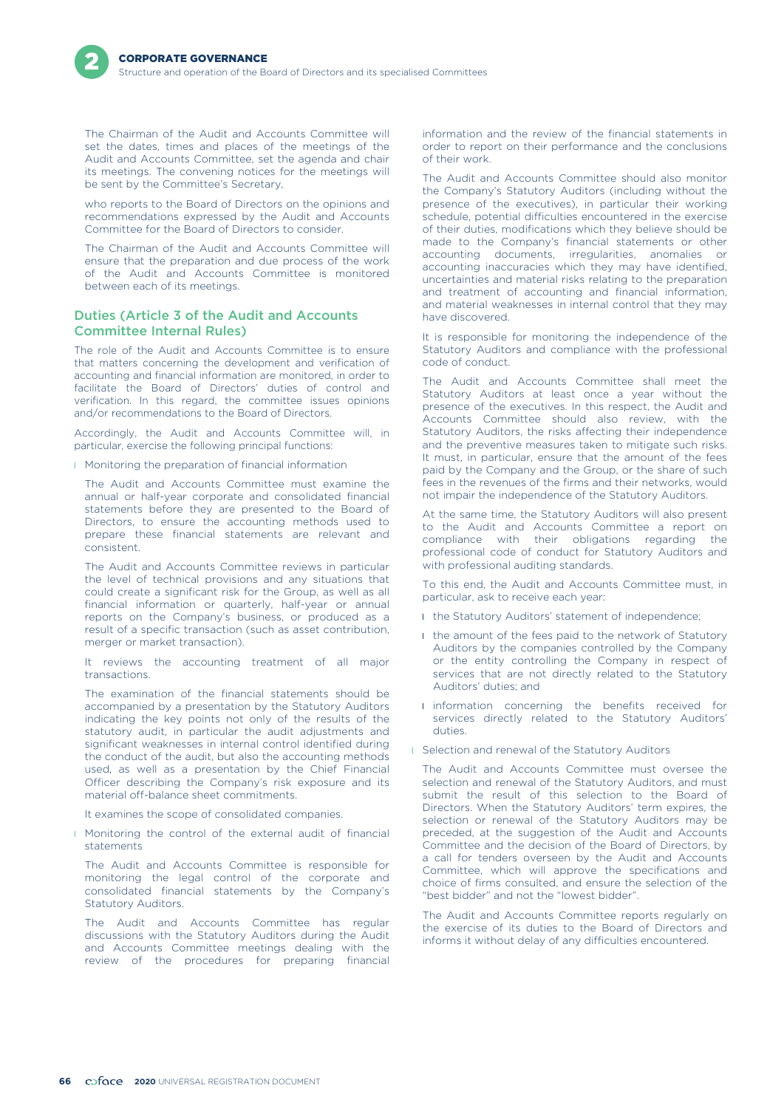The Chairman of the Audit and Accounts Committee will set the dates, times and places of the meetings of the Audit and Accounts Committee, set the agenda and chair its meetings. The convening notices for the meetings will be sent by the Committee's Secretary,

who reports to the Board of Directors on the opinions and recommendations expressed by the Audit and Accounts Committee for the Board of Directors to consider.

The Chairman of the Audit and Accounts Committee will ensure that the preparation and due process of the work of the Audit and Accounts Committee is monitored between each of its meetings.

### Duties (Article 3 of the Audit and Accounts Committee Internal Rules)

The role of the Audit and Accounts Committee is to ensure that matters concerning the development and verification of accounting and financial information are monitored, in order to facilitate the Board of Directors' duties of control and verification. In this regard, the committee issues opinions and/or recommendations to the Board of Directors.

Accordingly, the Audit and Accounts Committee will, in particular, exercise the following principal functions:

**I** Monitoring the preparation of financial information

The Audit and Accounts Committee must examine the annual or half-year corporate and consolidated financial statements before they are presented to the Board of Directors, to ensure the accounting methods used to prepare these financial statements are relevant and consistent.

The Audit and Accounts Committee reviews in particular the level of technical provisions and any situations that could create a significant risk for the Group, as well as all financial information or quarterly, half-year or annual reports on the Company's business, or produced as a result of a specific transaction (such as asset contribution, merger or market transaction).

It reviews the accounting treatment of all major transactions.

The examination of the financial statements should be accompanied by a presentation by the Statutory Auditors indicating the key points not only of the results of the statutory audit, in particular the audit adjustments and significant weaknesses in internal control identified during the conduct of the audit, but also the accounting methods used, as well as a presentation by the Chief Financial Officer describing the Company's risk exposure and its material off-balance sheet commitments.

It examines the scope of consolidated companies.

**I** Monitoring the control of the external audit of financial statements

The Audit and Accounts Committee is responsible for monitoring the legal control of the corporate and consolidated financial statements by the Company's Statutory Auditors.

The Audit and Accounts Committee has regular discussions with the Statutory Auditors during the Audit and Accounts Committee meetings dealing with the review of the procedures for preparing financial

information and the review of the financial statements in order to report on their performance and the conclusions of their work.

The Audit and Accounts Committee should also monitor the Company's Statutory Auditors (including without the presence of the executives), in particular their working schedule, potential difficulties encountered in the exercise of their duties, modifications which they believe should be made to the Company's financial statements or other accounting documents, irregularities, anomalies or accounting inaccuracies which they may have identified, uncertainties and material risks relating to the preparation and treatment of accounting and financial information, and material weaknesses in internal control that they may have discovered.

It is responsible for monitoring the independence of the Statutory Auditors and compliance with the professional code of conduct.

The Audit and Accounts Committee shall meet the Statutory Auditors at least once a year without the presence of the executives. In this respect, the Audit and Accounts Committee should also review, with the Statutory Auditors, the risks affecting their independence and the preventive measures taken to mitigate such risks. It must, in particular, ensure that the amount of the fees paid by the Company and the Group, or the share of such fees in the revenues of the firms and their networks, would not impair the independence of the Statutory Auditors.

At the same time, the Statutory Auditors will also present to the Audit and Accounts Committee a report on compliance with their obligations regarding the professional code of conduct for Statutory Auditors and with professional auditing standards.

To this end, the Audit and Accounts Committee must, in particular, ask to receive each year:

- **I** the Statutory Auditors' statement of independence;
- I the amount of the fees paid to the network of Statutory Auditors by the companies controlled by the Company or the entity controlling the Company in respect of services that are not directly related to the Statutory Auditors' duties; and
- **I** information concerning the benefits received for services directly related to the Statutory Auditors' duties.
- **I** Selection and renewal of the Statutory Auditors

The Audit and Accounts Committee must oversee the selection and renewal of the Statutory Auditors, and must submit the result of this selection to the Board of Directors. When the Statutory Auditors' term expires, the selection or renewal of the Statutory Auditors may be preceded, at the suggestion of the Audit and Accounts Committee and the decision of the Board of Directors, by a call for tenders overseen by the Audit and Accounts Committee, which will approve the specifications and choice of firms consulted, and ensure the selection of the "best bidder" and not the "lowest bidder".

The Audit and Accounts Committee reports regularly on the exercise of its duties to the Board of Directors and informs it without delay of any difficulties encountered.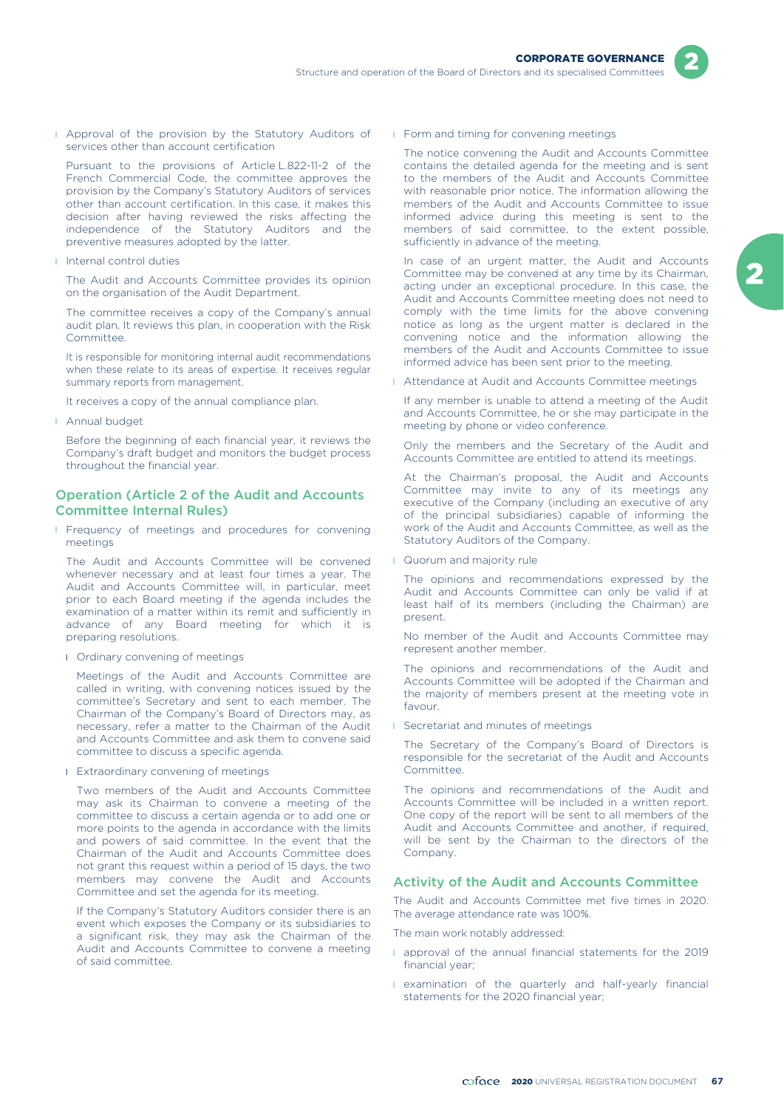**I** Approval of the provision by the Statutory Auditors of services other than account certification

Pursuant to the provisions of Article L.822-11-2 of the French Commercial Code, the committee approves the provision by the Company's Statutory Auditors of services other than account certification. In this case, it makes this decision after having reviewed the risks affecting the independence of the Statutory Auditors and the preventive measures adopted by the latter.

l Internal control duties

The Audit and Accounts Committee provides its opinion on the organisation of the Audit Department.

The committee receives a copy of the Company's annual audit plan. It reviews this plan, in cooperation with the Risk Committee.

It is responsible for monitoring internal audit recommendations when these relate to its areas of expertise. It receives regular summary reports from management.

It receives a copy of the annual compliance plan.

**I** Annual budget

Before the beginning of each financial year, it reviews the Company's draft budget and monitors the budget process throughout the financial year.

### Operation (Article 2 of the Audit and Accounts Committee Internal Rules)

**I** Frequency of meetings and procedures for convening meetings

The Audit and Accounts Committee will be convened whenever necessary and at least four times a year. The Audit and Accounts Committee will, in particular, meet prior to each Board meeting if the agenda includes the examination of a matter within its remit and sufficiently in advance of any Board meeting for which it is preparing resolutions.

**I** Ordinary convening of meetings

Meetings of the Audit and Accounts Committee are called in writing, with convening notices issued by the committee's Secretary and sent to each member. The Chairman of the Company's Board of Directors may, as necessary, refer a matter to the Chairman of the Audit and Accounts Committee and ask them to convene said committee to discuss a specific agenda.

**I** Extraordinary convening of meetings

Two members of the Audit and Accounts Committee may ask its Chairman to convene a meeting of the committee to discuss a certain agenda or to add one or more points to the agenda in accordance with the limits and powers of said committee. In the event that the Chairman of the Audit and Accounts Committee does not grant this request within a period of 15 days, the two members may convene the Audit and Accounts Committee and set the agenda for its meeting.

If the Company's Statutory Auditors consider there is an event which exposes the Company or its subsidiaries to a significant risk, they may ask the Chairman of the Audit and Accounts Committee to convene a meeting of said committee.

**I** Form and timing for convening meetings

The notice convening the Audit and Accounts Committee contains the detailed agenda for the meeting and is sent to the members of the Audit and Accounts Committee with reasonable prior notice. The information allowing the members of the Audit and Accounts Committee to issue informed advice during this meeting is sent to the members of said committee, to the extent possible, sufficiently in advance of the meeting.

In case of an urgent matter, the Audit and Accounts Committee may be convened at any time by its Chairman, acting under an exceptional procedure. In this case, the Audit and Accounts Committee meeting does not need to comply with the time limits for the above convening notice as long as the urgent matter is declared in the convening notice and the information allowing the members of the Audit and Accounts Committee to issue informed advice has been sent prior to the meeting.

**I** Attendance at Audit and Accounts Committee meetings

If any member is unable to attend a meeting of the Audit and Accounts Committee, he or she may participate in the meeting by phone or video conference.

Only the members and the Secretary of the Audit and Accounts Committee are entitled to attend its meetings.

At the Chairman's proposal, the Audit and Accounts Committee may invite to any of its meetings any executive of the Company (including an executive of any of the principal subsidiaries) capable of informing the work of the Audit and Accounts Committee, as well as the Statutory Auditors of the Company.

**I** Quorum and majority rule

The opinions and recommendations expressed by the Audit and Accounts Committee can only be valid if at least half of its members (including the Chairman) are present.

No member of the Audit and Accounts Committee may represent another member.

The opinions and recommendations of the Audit and Accounts Committee will be adopted if the Chairman and the majority of members present at the meeting vote in favour.

**I** Secretariat and minutes of meetings

The Secretary of the Company's Board of Directors is responsible for the secretariat of the Audit and Accounts Committee.

The opinions and recommendations of the Audit and Accounts Committee will be included in a written report. One copy of the report will be sent to all members of the Audit and Accounts Committee and another, if required, will be sent by the Chairman to the directors of the Company.

### Activity of the Audit and Accounts Committee

The Audit and Accounts Committee met five times in 2020. The average attendance rate was 100%.

The main work notably addressed:

- **approval of the annual financial statements for the 2019** financial year;
- **I** examination of the quarterly and half-yearly financial statements for the 2020 financial year;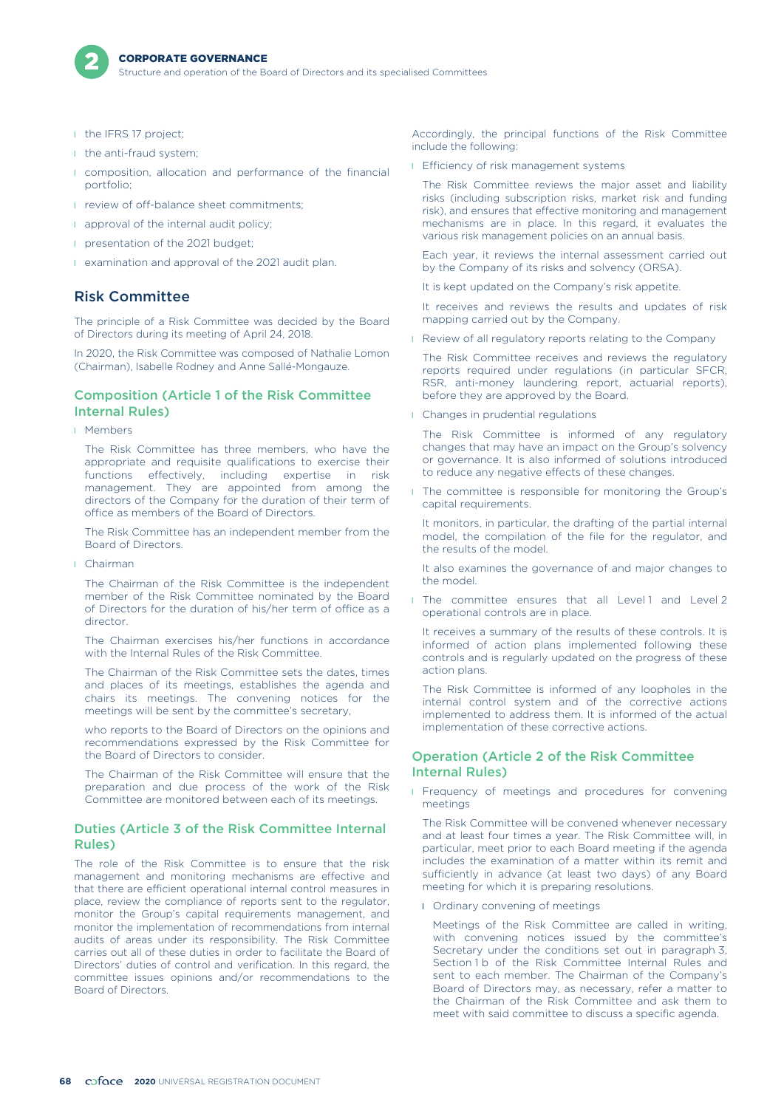

Structure and operation of the Board of Directors and its specialised Committees

- **I** the IFRS 17 project;
- I the anti-fraud system;
- **I** composition, allocation and performance of the financial portfolio;
- **I** review of off-balance sheet commitments;
- **a** approval of the internal audit policy;
- **p** presentation of the 2021 budget:
- **I** examination and approval of the 2021 audit plan.

### Risk Committee

The principle of a Risk Committee was decided by the Board of Directors during its meeting of April 24, 2018.

In 2020, the Risk Committee was composed of Nathalie Lomon (Chairman), Isabelle Rodney and Anne Sallé-Mongauze.

### Composition (Article 1 of the Risk Committee Internal Rules)

l Members

The Risk Committee has three members, who have the appropriate and requisite qualifications to exercise their functions effectively, including expertise in risk management. They are appointed from among the directors of the Company for the duration of their term of office as members of the Board of Directors.

The Risk Committee has an independent member from the Board of Directors.

l Chairman

The Chairman of the Risk Committee is the independent member of the Risk Committee nominated by the Board of Directors for the duration of his/her term of office as a director.

The Chairman exercises his/her functions in accordance with the Internal Rules of the Risk Committee.

The Chairman of the Risk Committee sets the dates, times and places of its meetings, establishes the agenda and chairs its meetings. The convening notices for the meetings will be sent by the committee's secretary,

who reports to the Board of Directors on the opinions and recommendations expressed by the Risk Committee for the Board of Directors to consider.

The Chairman of the Risk Committee will ensure that the preparation and due process of the work of the Risk Committee are monitored between each of its meetings.

### Duties (Article 3 of the Risk Committee Internal Rules)

The role of the Risk Committee is to ensure that the risk management and monitoring mechanisms are effective and that there are efficient operational internal control measures in place, review the compliance of reports sent to the regulator, monitor the Group's capital requirements management, and monitor the implementation of recommendations from internal audits of areas under its responsibility. The Risk Committee carries out all of these duties in order to facilitate the Board of Directors' duties of control and verification. In this regard, the committee issues opinions and/or recommendations to the Board of Directors.

Accordingly, the principal functions of the Risk Committee include the following:

**I** Efficiency of risk management systems

The Risk Committee reviews the major asset and liability risks (including subscription risks, market risk and funding risk), and ensures that effective monitoring and management mechanisms are in place. In this regard, it evaluates the various risk management policies on an annual basis.

Each year, it reviews the internal assessment carried out by the Company of its risks and solvency (ORSA).

It is kept updated on the Company's risk appetite.

It receives and reviews the results and updates of risk mapping carried out by the Company.

**Review of all regulatory reports relating to the Company** 

The Risk Committee receives and reviews the regulatory reports required under regulations (in particular SFCR, RSR, anti-money laundering report, actuarial reports), before they are approved by the Board.

**I** Changes in prudential regulations

The Risk Committee is informed of any regulatory changes that may have an impact on the Group's solvency or governance. It is also informed of solutions introduced to reduce any negative effects of these changes.

**I** The committee is responsible for monitoring the Group's capital requirements.

It monitors, in particular, the drafting of the partial internal model, the compilation of the file for the regulator, and the results of the model.

It also examines the governance of and major changes to the model.

I The committee ensures that all Level 1 and Level 2 operational controls are in place.

It receives a summary of the results of these controls. It is informed of action plans implemented following these controls and is regularly updated on the progress of these action plans.

The Risk Committee is informed of any loopholes in the internal control system and of the corrective actions implemented to address them. It is informed of the actual implementation of these corrective actions.

### Operation (Article 2 of the Risk Committee Internal Rules)

**I** Frequency of meetings and procedures for convening meetings

The Risk Committee will be convened whenever necessary and at least four times a year. The Risk Committee will, in particular, meet prior to each Board meeting if the agenda includes the examination of a matter within its remit and sufficiently in advance (at least two days) of any Board meeting for which it is preparing resolutions.

**I** Ordinary convening of meetings

Meetings of the Risk Committee are called in writing, with convening notices issued by the committee's Secretary under the conditions set out in paragraph 3, Section 1 b of the Risk Committee Internal Rules and sent to each member. The Chairman of the Company's Board of Directors may, as necessary, refer a matter to the Chairman of the Risk Committee and ask them to meet with said committee to discuss a specific agenda.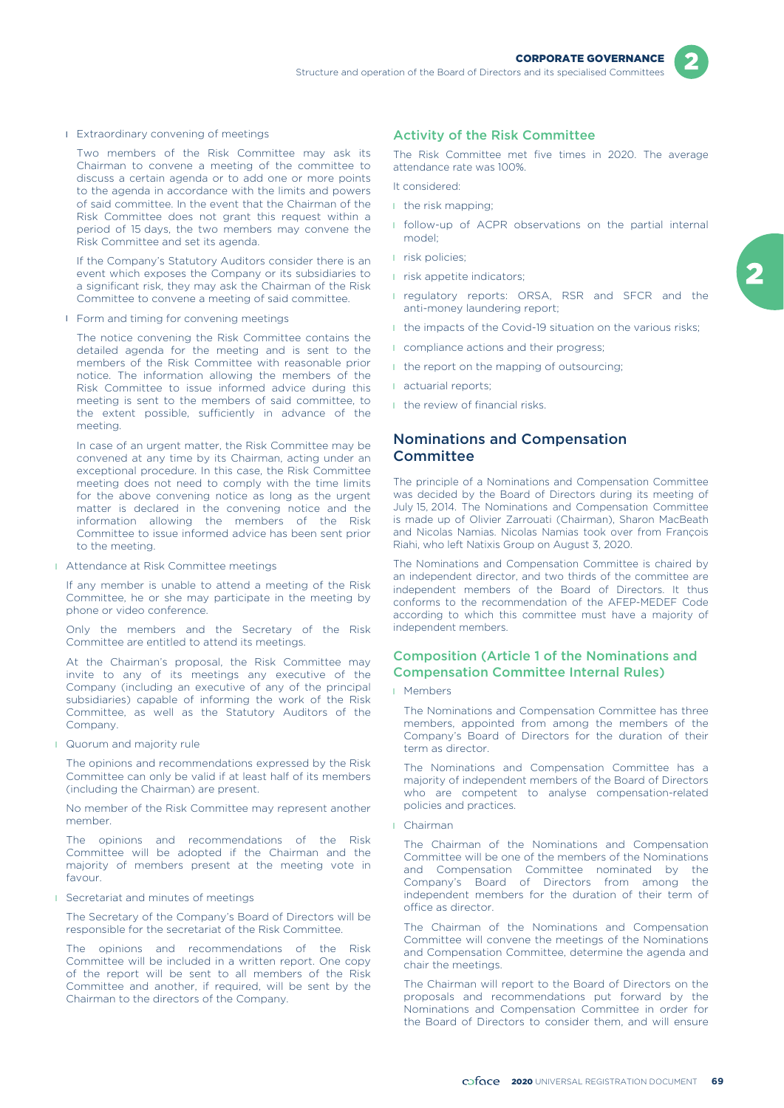

**I** Extraordinary convening of meetings

Two members of the Risk Committee may ask its Chairman to convene a meeting of the committee to discuss a certain agenda or to add one or more points to the agenda in accordance with the limits and powers of said committee. In the event that the Chairman of the Risk Committee does not grant this request within a period of 15 days, the two members may convene the Risk Committee and set its agenda.

If the Company's Statutory Auditors consider there is an event which exposes the Company or its subsidiaries to a significant risk, they may ask the Chairman of the Risk Committee to convene a meeting of said committee.

**I** Form and timing for convening meetings

The notice convening the Risk Committee contains the detailed agenda for the meeting and is sent to the members of the Risk Committee with reasonable prior notice. The information allowing the members of the Risk Committee to issue informed advice during this meeting is sent to the members of said committee, to the extent possible, sufficiently in advance of the meeting.

In case of an urgent matter, the Risk Committee may be convened at any time by its Chairman, acting under an exceptional procedure. In this case, the Risk Committee meeting does not need to comply with the time limits for the above convening notice as long as the urgent matter is declared in the convening notice and the information allowing the members of the Risk Committee to issue informed advice has been sent prior to the meeting.

**I** Attendance at Risk Committee meetings

If any member is unable to attend a meeting of the Risk Committee, he or she may participate in the meeting by phone or video conference.

Only the members and the Secretary of the Risk Committee are entitled to attend its meetings.

At the Chairman's proposal, the Risk Committee may invite to any of its meetings any executive of the Company (including an executive of any of the principal subsidiaries) capable of informing the work of the Risk Committee, as well as the Statutory Auditors of the Company.

**I** Quorum and majority rule

The opinions and recommendations expressed by the Risk Committee can only be valid if at least half of its members (including the Chairman) are present.

No member of the Risk Committee may represent another member.

The opinions and recommendations of the Risk Committee will be adopted if the Chairman and the majority of members present at the meeting vote in favour.

**I** Secretariat and minutes of meetings

The Secretary of the Company's Board of Directors will be responsible for the secretariat of the Risk Committee.

The opinions and recommendations of the Risk Committee will be included in a written report. One copy of the report will be sent to all members of the Risk Committee and another, if required, will be sent by the Chairman to the directors of the Company.

### Activity of the Risk Committee

The Risk Committee met five times in 2020. The average attendance rate was 100%.

It considered:

- **I** the risk mapping;
- **I** follow-up of ACPR observations on the partial internal model;
- l risk policies;
- **i** risk appetite indicators;
- **I** regulatory reports: ORSA, RSR and SFCR and the anti-money laundering report;
- I the impacts of the Covid-19 situation on the various risks;
- **I** compliance actions and their progress;
- I the report on the mapping of outsourcing:
- l actuarial reports;
- **I** the review of financial risks.

### Nominations and Compensation **Committee**

The principle of a Nominations and Compensation Committee was decided by the Board of Directors during its meeting of July 15, 2014. The Nominations and Compensation Committee is made up of Olivier Zarrouati (Chairman), Sharon MacBeath and Nicolas Namias. Nicolas Namias took over from François Riahi, who left Natixis Group on August 3, 2020.

The Nominations and Compensation Committee is chaired by an independent director, and two thirds of the committee are independent members of the Board of Directors. It thus conforms to the recommendation of the AFEP-MEDEF Code according to which this committee must have a majority of independent members.

### Composition (Article 1 of the Nominations and Compensation Committee Internal Rules)

l Members

The Nominations and Compensation Committee has three members, appointed from among the members of the Company's Board of Directors for the duration of their term as director.

The Nominations and Compensation Committee has a majority of independent members of the Board of Directors who are competent to analyse compensation-related policies and practices.

l Chairman

The Chairman of the Nominations and Compensation Committee will be one of the members of the Nominations and Compensation Committee nominated by the Company's Board of Directors from among the independent members for the duration of their term of office as director.

The Chairman of the Nominations and Compensation Committee will convene the meetings of the Nominations and Compensation Committee, determine the agenda and chair the meetings.

The Chairman will report to the Board of Directors on the proposals and recommendations put forward by the Nominations and Compensation Committee in order for the Board of Directors to consider them, and will ensure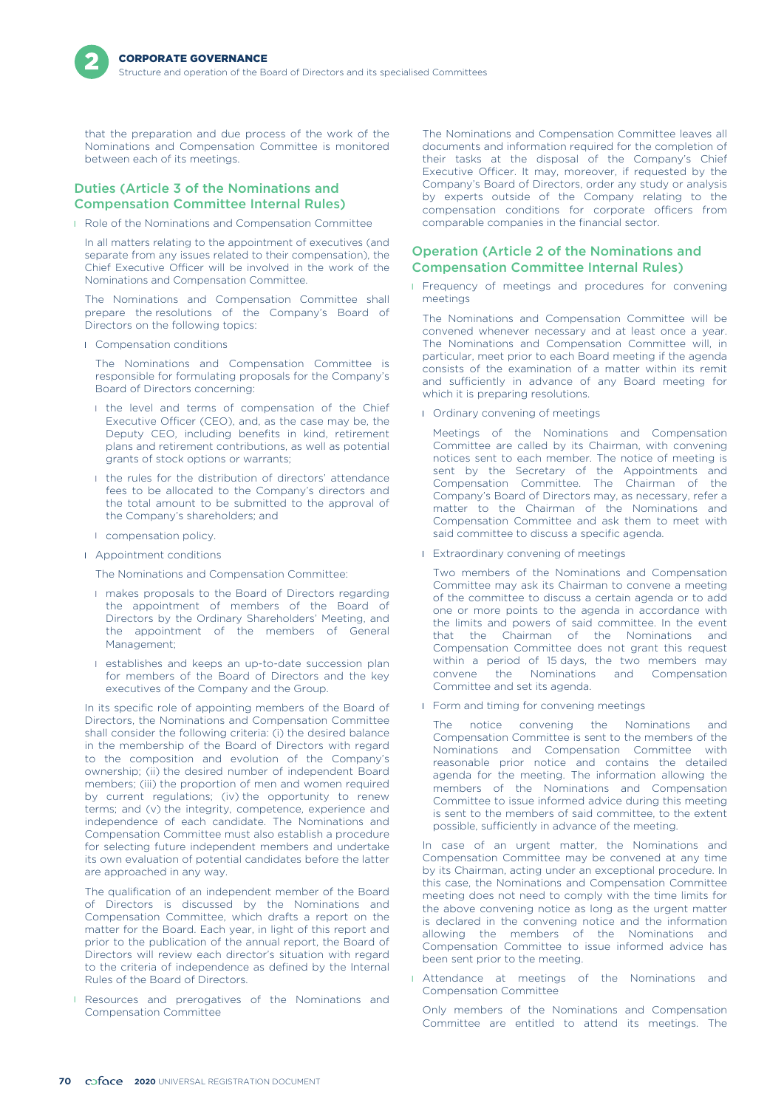that the preparation and due process of the work of the Nominations and Compensation Committee is monitored between each of its meetings.

### Duties (Article 3 of the Nominations and Compensation Committee Internal Rules)

**I** Role of the Nominations and Compensation Committee

In all matters relating to the appointment of executives (and separate from any issues related to their compensation), the Chief Executive Officer will be involved in the work of the Nominations and Compensation Committee.

The Nominations and Compensation Committee shall prepare the resolutions of the Company's Board of Directors on the following topics:

**I** Compensation conditions

The Nominations and Compensation Committee is responsible for formulating proposals for the Company's Board of Directors concerning:

- I the level and terms of compensation of the Chief Executive Officer (CEO), and, as the case may be, the Deputy CEO, including benefits in kind, retirement plans and retirement contributions, as well as potential grants of stock options or warrants;
- l the rules for the distribution of directors' attendance fees to be allocated to the Company's directors and the total amount to be submitted to the approval of the Company's shareholders; and
- **I** compensation policy.
- **I** Appointment conditions
	- The Nominations and Compensation Committee:
	- **I** makes proposals to the Board of Directors regarding the appointment of members of the Board of Directors by the Ordinary Shareholders' Meeting, and the appointment of the members of General Management;
	- **I** establishes and keeps an up-to-date succession plan for members of the Board of Directors and the key executives of the Company and the Group.

In its specific role of appointing members of the Board of Directors, the Nominations and Compensation Committee shall consider the following criteria: (i) the desired balance in the membership of the Board of Directors with regard to the composition and evolution of the Company's ownership; (ii) the desired number of independent Board members; (iii) the proportion of men and women required by current regulations; (iv) the opportunity to renew terms; and (v) the integrity, competence, experience and independence of each candidate. The Nominations and Compensation Committee must also establish a procedure for selecting future independent members and undertake its own evaluation of potential candidates before the latter are approached in any way.

The qualification of an independent member of the Board of Directors is discussed by the Nominations and Compensation Committee, which drafts a report on the matter for the Board. Each year, in light of this report and prior to the publication of the annual report, the Board of Directors will review each director's situation with regard to the criteria of independence as defined by the Internal Rules of the Board of Directors.

**I** Resources and prerogatives of the Nominations and Compensation Committee

The Nominations and Compensation Committee leaves all documents and information required for the completion of their tasks at the disposal of the Company's Chief Executive Officer. It may, moreover, if requested by the Company's Board of Directors, order any study or analysis by experts outside of the Company relating to the compensation conditions for corporate officers from comparable companies in the financial sector.

### Operation (Article 2 of the Nominations and Compensation Committee Internal Rules)

**I** Frequency of meetings and procedures for convening meetings

The Nominations and Compensation Committee will be convened whenever necessary and at least once a year. The Nominations and Compensation Committee will, in particular, meet prior to each Board meeting if the agenda consists of the examination of a matter within its remit and sufficiently in advance of any Board meeting for which it is preparing resolutions.

**I** Ordinary convening of meetings

Meetings of the Nominations and Compensation Committee are called by its Chairman, with convening notices sent to each member. The notice of meeting is sent by the Secretary of the Appointments and Compensation Committee. The Chairman of the Company's Board of Directors may, as necessary, refer a matter to the Chairman of the Nominations and Compensation Committee and ask them to meet with said committee to discuss a specific agenda.

**I** Extraordinary convening of meetings

Two members of the Nominations and Compensation Committee may ask its Chairman to convene a meeting of the committee to discuss a certain agenda or to add one or more points to the agenda in accordance with the limits and powers of said committee. In the event that the Chairman of the Nominations and Compensation Committee does not grant this request within a period of 15 days, the two members may convene the Nominations and Compensation Committee and set its agenda.

**I** Form and timing for convening meetings

The notice convening the Nominations and Compensation Committee is sent to the members of the Nominations and Compensation Committee with reasonable prior notice and contains the detailed agenda for the meeting. The information allowing the members of the Nominations and Compensation Committee to issue informed advice during this meeting is sent to the members of said committee, to the extent possible, sufficiently in advance of the meeting.

In case of an urgent matter, the Nominations and Compensation Committee may be convened at any time by its Chairman, acting under an exceptional procedure. In this case, the Nominations and Compensation Committee meeting does not need to comply with the time limits for the above convening notice as long as the urgent matter is declared in the convening notice and the information allowing the members of the Nominations and Compensation Committee to issue informed advice has been sent prior to the meeting.

**I** Attendance at meetings of the Nominations and Compensation Committee

Only members of the Nominations and Compensation Committee are entitled to attend its meetings. The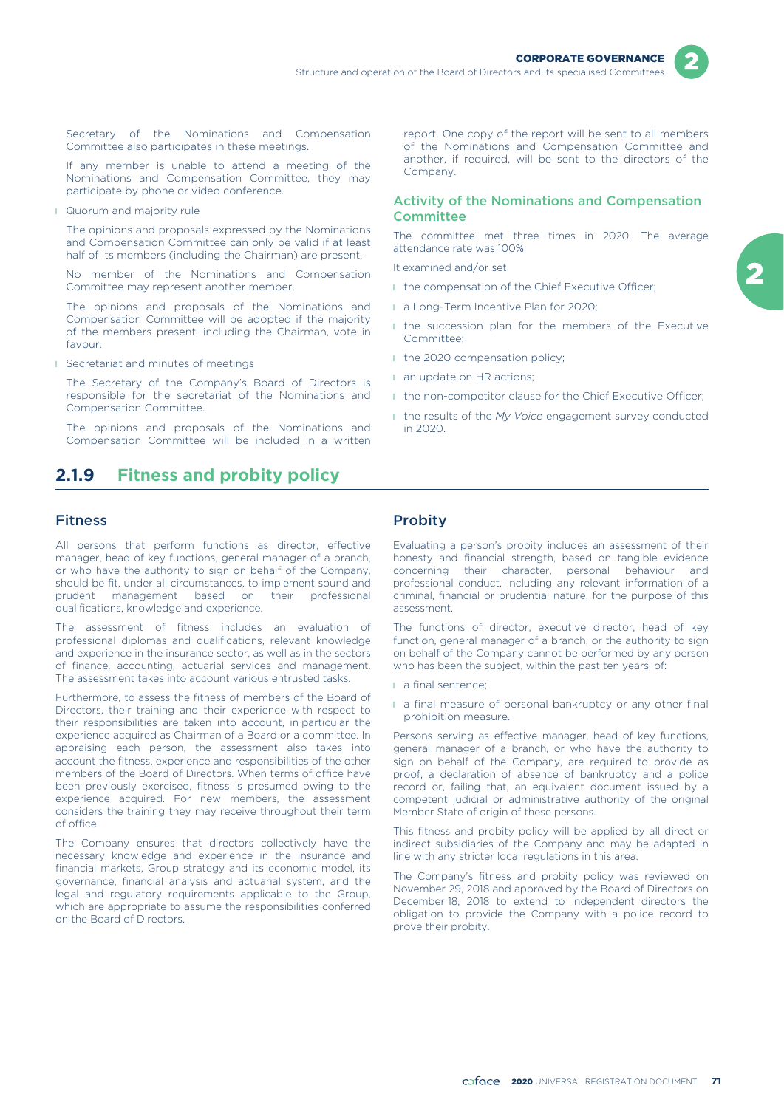

Secretary of the Nominations and Compensation Committee also participates in these meetings.

If any member is unable to attend a meeting of the Nominations and Compensation Committee, they may participate by phone or video conference.

**I** Quorum and majority rule

The opinions and proposals expressed by the Nominations and Compensation Committee can only be valid if at least half of its members (including the Chairman) are present.

No member of the Nominations and Compensation Committee may represent another member.

The opinions and proposals of the Nominations and Compensation Committee will be adopted if the majority of the members present, including the Chairman, vote in favour.

**I** Secretariat and minutes of meetings

The Secretary of the Company's Board of Directors is responsible for the secretariat of the Nominations and Compensation Committee.

The opinions and proposals of the Nominations and Compensation Committee will be included in a written

## **2.1.9 Fitness and probity policy**

### Fitness

All persons that perform functions as director, effective manager, head of key functions, general manager of a branch, or who have the authority to sign on behalf of the Company, should be fit, under all circumstances, to implement sound and prudent management based on their professional qualifications, knowledge and experience.

The assessment of fitness includes an evaluation of professional diplomas and qualifications, relevant knowledge and experience in the insurance sector, as well as in the sectors of finance, accounting, actuarial services and management. The assessment takes into account various entrusted tasks.

Furthermore, to assess the fitness of members of the Board of Directors, their training and their experience with respect to their responsibilities are taken into account, in particular the experience acquired as Chairman of a Board or a committee. In appraising each person, the assessment also takes into account the fitness, experience and responsibilities of the other members of the Board of Directors. When terms of office have been previously exercised, fitness is presumed owing to the experience acquired. For new members, the assessment considers the training they may receive throughout their term of office.

The Company ensures that directors collectively have the necessary knowledge and experience in the insurance and financial markets, Group strategy and its economic model, its governance, financial analysis and actuarial system, and the legal and regulatory requirements applicable to the Group, which are appropriate to assume the responsibilities conferred on the Board of Directors.

report. One copy of the report will be sent to all members of the Nominations and Compensation Committee and another, if required, will be sent to the directors of the Company.

### Activity of the Nominations and Compensation **Committee**

The committee met three times in 2020. The average attendance rate was 100%.

It examined and/or set:

- I the compensation of the Chief Executive Officer;
- **a** Long-Term Incentive Plan for 2020:
- I the succession plan for the members of the Executive Committee;
- I the 2020 compensation policy;
- **an update on HR actions;**
- **I** the non-competitor clause for the Chief Executive Officer;
- l the results of the *My Voice* engagement survey conducted in 2020.

### **Probity**

Evaluating a person's probity includes an assessment of their honesty and financial strength, based on tangible evidence concerning their character, personal behaviour and professional conduct, including any relevant information of a criminal, financial or prudential nature, for the purpose of this assessment.

The functions of director, executive director, head of key function, general manager of a branch, or the authority to sign on behalf of the Company cannot be performed by any person who has been the subject, within the past ten years, of:

- l a final sentence;
- **a** final measure of personal bankruptcy or any other final prohibition measure.

Persons serving as effective manager, head of key functions, general manager of a branch, or who have the authority to sign on behalf of the Company, are required to provide as proof, a declaration of absence of bankruptcy and a police record or, failing that, an equivalent document issued by a competent judicial or administrative authority of the original Member State of origin of these persons.

This fitness and probity policy will be applied by all direct or indirect subsidiaries of the Company and may be adapted in line with any stricter local regulations in this area.

The Company's fitness and probity policy was reviewed on November 29, 2018 and approved by the Board of Directors on December 18, 2018 to extend to independent directors the obligation to provide the Company with a police record to prove their probity.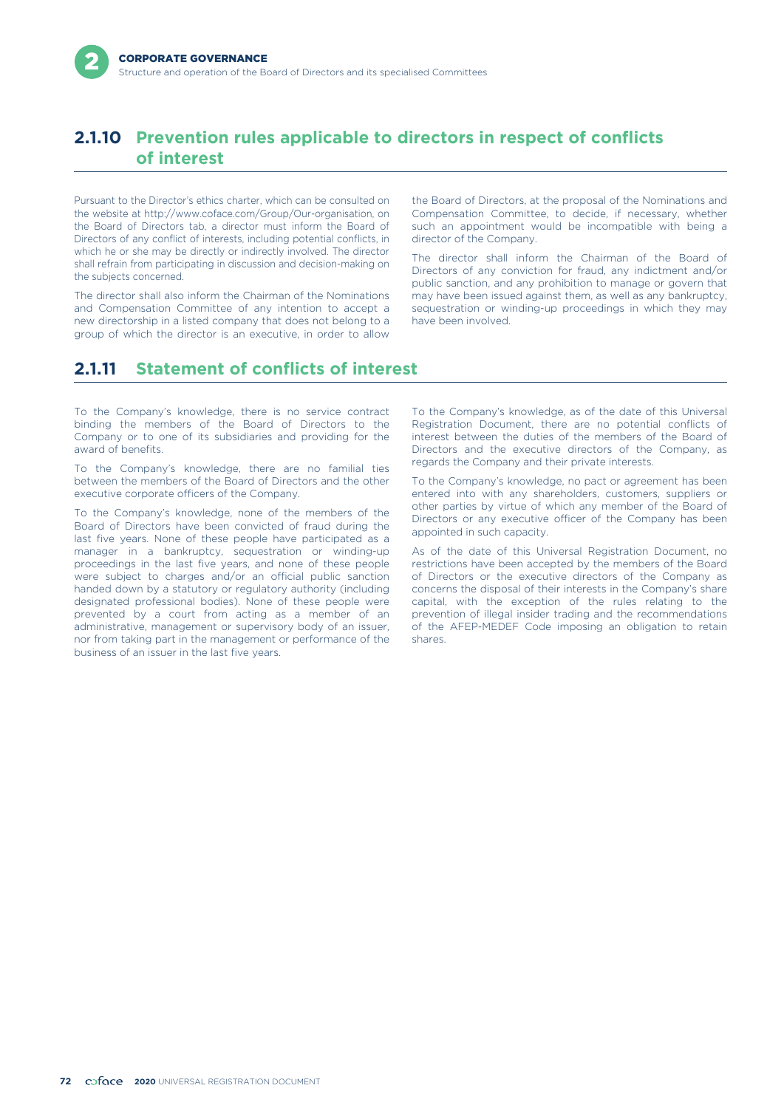## **2.1.10 Prevention rules applicable to directors in respect of conflicts of interest**

Pursuant to the Director's ethics charter, which can be consulted on the website at http://www.coface.com/Group/Our-organisation, on the Board of Directors tab, a director must inform the Board of Directors of any conflict of interests, including potential conflicts, in which he or she may be directly or indirectly involved. The director shall refrain from participating in discussion and decision-making on the subjects concerned.

The director shall also inform the Chairman of the Nominations and Compensation Committee of any intention to accept a new directorship in a listed company that does not belong to a group of which the director is an executive, in order to allow

the Board of Directors, at the proposal of the Nominations and Compensation Committee, to decide, if necessary, whether such an appointment would be incompatible with being a director of the Company.

The director shall inform the Chairman of the Board of Directors of any conviction for fraud, any indictment and/or public sanction, and any prohibition to manage or govern that may have been issued against them, as well as any bankruptcy, sequestration or winding-up proceedings in which they may have been involved.

# **2.1.11 Statement of conflicts of interest**

To the Company's knowledge, there is no service contract binding the members of the Board of Directors to the Company or to one of its subsidiaries and providing for the award of benefits.

To the Company's knowledge, there are no familial ties between the members of the Board of Directors and the other executive corporate officers of the Company.

To the Company's knowledge, none of the members of the Board of Directors have been convicted of fraud during the last five years. None of these people have participated as a manager in a bankruptcy, sequestration or winding-up proceedings in the last five years, and none of these people were subject to charges and/or an official public sanction handed down by a statutory or regulatory authority (including designated professional bodies). None of these people were prevented by a court from acting as a member of an administrative, management or supervisory body of an issuer, nor from taking part in the management or performance of the business of an issuer in the last five years.

To the Company's knowledge, as of the date of this Universal Registration Document, there are no potential conflicts of interest between the duties of the members of the Board of Directors and the executive directors of the Company, as regards the Company and their private interests.

To the Company's knowledge, no pact or agreement has been entered into with any shareholders, customers, suppliers or other parties by virtue of which any member of the Board of Directors or any executive officer of the Company has been appointed in such capacity.

As of the date of this Universal Registration Document, no restrictions have been accepted by the members of the Board of Directors or the executive directors of the Company as concerns the disposal of their interests in the Company's share capital, with the exception of the rules relating to the prevention of illegal insider trading and the recommendations of the AFEP-MEDEF Code imposing an obligation to retain shares.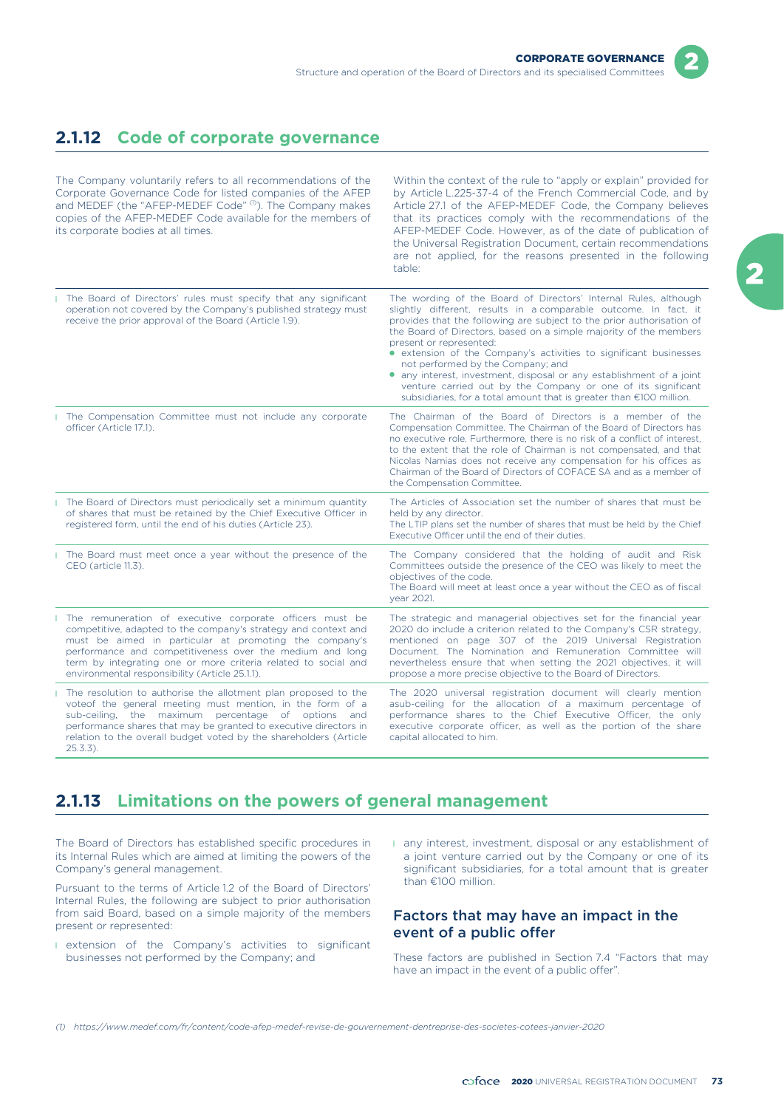## **2.1.12 Code of corporate governance**

The Company voluntarily refers to all recommendations of the Corporate Governance Code for listed companies of the AFEP and MEDEF (the "AFEP-MEDEF Code" (1). The Company makes copies of the AFEP-MEDEF Code available for the members of its corporate bodies at all times.

Within the context of the rule to "apply or explain" provided for by Article L.225-37-4 of the French Commercial Code, and by Article 27.1 of the AFEP-MEDEF Code, the Company believes that its practices comply with the recommendations of the AFEP-MEDEF Code. However, as of the date of publication of the Universal Registration Document, certain recommendations are not applied, for the reasons presented in the following table:

| The Board of Directors' rules must specify that any significant<br>operation not covered by the Company's published strategy must<br>receive the prior approval of the Board (Article 1.9).                                                                                                                                                                          | The wording of the Board of Directors' Internal Rules, although<br>slightly different, results in a comparable outcome. In fact, it<br>provides that the following are subject to the prior authorisation of<br>the Board of Directors, based on a simple majority of the members<br>present or represented:<br>• extension of the Company's activities to significant businesses<br>not performed by the Company; and<br>• any interest, investment, disposal or any establishment of a joint<br>venture carried out by the Company or one of its significant<br>subsidiaries, for a total amount that is greater than €100 million. |
|----------------------------------------------------------------------------------------------------------------------------------------------------------------------------------------------------------------------------------------------------------------------------------------------------------------------------------------------------------------------|---------------------------------------------------------------------------------------------------------------------------------------------------------------------------------------------------------------------------------------------------------------------------------------------------------------------------------------------------------------------------------------------------------------------------------------------------------------------------------------------------------------------------------------------------------------------------------------------------------------------------------------|
| The Compensation Committee must not include any corporate<br>officer (Article 17.1).                                                                                                                                                                                                                                                                                 | The Chairman of the Board of Directors is a member of the<br>Compensation Committee. The Chairman of the Board of Directors has<br>no executive role. Furthermore, there is no risk of a conflict of interest,<br>to the extent that the role of Chairman is not compensated, and that<br>Nicolas Namias does not receive any compensation for his offices as<br>Chairman of the Board of Directors of COFACE SA and as a member of<br>the Compensation Committee.                                                                                                                                                                    |
| The Board of Directors must periodically set a minimum quantity<br>of shares that must be retained by the Chief Executive Officer in<br>registered form, until the end of his duties (Article 23).                                                                                                                                                                   | The Articles of Association set the number of shares that must be<br>held by any director.<br>The LTIP plans set the number of shares that must be held by the Chief<br>Executive Officer until the end of their duties.                                                                                                                                                                                                                                                                                                                                                                                                              |
| The Board must meet once a year without the presence of the<br>CEO (article 11.3).                                                                                                                                                                                                                                                                                   | The Company considered that the holding of audit and Risk<br>Committees outside the presence of the CEO was likely to meet the<br>objectives of the code.<br>The Board will meet at least once a year without the CEO as of fiscal<br>year 2021.                                                                                                                                                                                                                                                                                                                                                                                      |
| The remuneration of executive corporate officers must be<br>competitive, adapted to the company's strategy and context and<br>must be aimed in particular at promoting the company's<br>performance and competitiveness over the medium and long<br>term by integrating one or more criteria related to social and<br>environmental responsibility (Article 25.1.1). | The strategic and managerial objectives set for the financial year<br>2020 do include a criterion related to the Company's CSR strategy,<br>mentioned on page 307 of the 2019 Universal Registration<br>Document. The Nomination and Remuneration Committee will<br>nevertheless ensure that when setting the 2021 objectives, it will<br>propose a more precise objective to the Board of Directors.                                                                                                                                                                                                                                 |
| I The resolution to authorise the allotment plan proposed to the<br>voteof the general meeting must mention, in the form of a<br>sub-ceiling, the maximum percentage of options and<br>performance shares that may be granted to executive directors in<br>relation to the overall budget voted by the shareholders (Article<br>$25.3.3$ ).                          | The 2020 universal registration document will clearly mention<br>asub-ceiling for the allocation of a maximum percentage of<br>performance shares to the Chief Executive Officer, the only<br>executive corporate officer, as well as the portion of the share<br>capital allocated to him.                                                                                                                                                                                                                                                                                                                                           |

## **2.1.13 Limitations on the powers of general management**

The Board of Directors has established specific procedures in its Internal Rules which are aimed at limiting the powers of the Company's general management.

Pursuant to the terms of Article 1.2 of the Board of Directors' Internal Rules, the following are subject to prior authorisation from said Board, based on a simple majority of the members present or represented:

- **I** extension of the Company's activities to significant businesses not performed by the Company; and
- l any interest, investment, disposal or any establishment of a joint venture carried out by the Company or one of its significant subsidiaries, for a total amount that is greater than €100 million.

### Factors that may have an impact in the event of a public offer

These factors are published in Section 7.4 "Factors that may have an impact in the event of a public offer".

*(1) https://www.medef.com/fr/content/code-afep-medef-revise-de-gouvernement-dentreprise-des-societes-cotees-janvier-2020*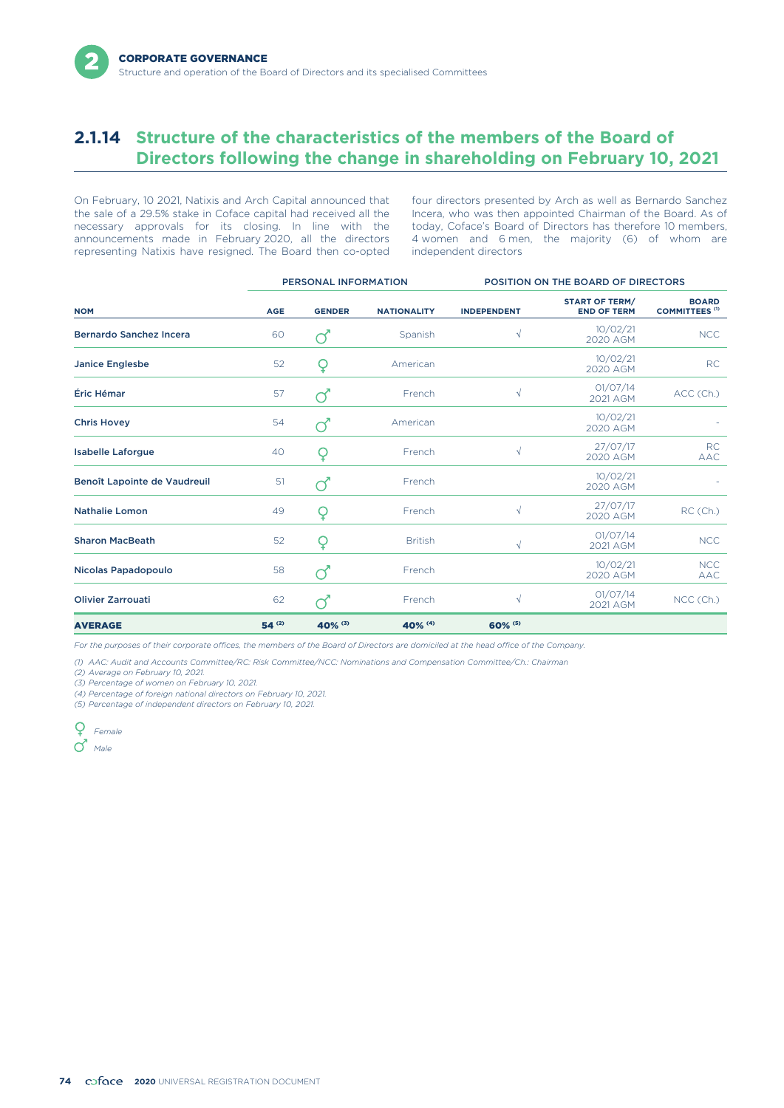## **2.1.14 Structure of the characteristics of the members of the Board of Directors following the change in shareholding on February 10, 2021**

the sale of a 29.5% stake in Coface capital had received all the Incera, who was then appointed Chairman of the Board. As of necessary approvals for its closing. In line with the today, Coface's Board of Directors has ther necessary approvals for its closing. In line with the announcements made in February 2020, all the directors 4 women and 6 men, the majority (6) of whom are representing Natixis have resigned. The Board then co-opted independent directors representing Natixis have resigned. The Board then co-opted

On February, 10 2021, Natixis and Arch Capital announced that four directors presented by Arch as well as Bernardo Sanchez

|                                |            | PERSONAL INFORMATION |                    | POSITION ON THE BOARD OF DIRECTORS |                                             |                                       |  |
|--------------------------------|------------|----------------------|--------------------|------------------------------------|---------------------------------------------|---------------------------------------|--|
| <b>NOM</b>                     | <b>AGE</b> | <b>GENDER</b>        | <b>NATIONALITY</b> | <b>INDEPENDENT</b>                 | <b>START OF TERM/</b><br><b>END OF TERM</b> | <b>BOARD</b><br><b>COMMITTEES (1)</b> |  |
| <b>Bernardo Sanchez Incera</b> | 60         | ൪                    | Spanish            | $\sqrt{}$                          | 10/02/21<br>2020 AGM                        | <b>NCC</b>                            |  |
| <b>Janice Englesbe</b>         | 52         | Q                    | American           |                                    | 10/02/21<br>2020 AGM                        | <b>RC</b>                             |  |
| Éric Hémar                     | 57         | ൪                    | French             | $\sqrt{ }$                         | 01/07/14<br>2021 AGM                        | ACC (Ch.)                             |  |
| <b>Chris Hovey</b>             | 54         | ൪                    | American           |                                    | 10/02/21<br>2020 AGM                        |                                       |  |
| <b>Isabelle Laforgue</b>       | 40         | Q                    | French             | $\sqrt{ }$                         | 27/07/17<br>2020 AGM                        | <b>RC</b><br><b>AAC</b>               |  |
| Benoît Lapointe de Vaudreuil   | 51         |                      | French             |                                    | 10/02/21<br>2020 AGM                        |                                       |  |
| <b>Nathalie Lomon</b>          | 49         | Q                    | French             | $\sqrt{ }$                         | 27/07/17<br>2020 AGM                        | RC(Ch.)                               |  |
| <b>Sharon MacBeath</b>         | 52         | Q                    | <b>British</b>     | $\sqrt{}$                          | 01/07/14<br>2021 AGM                        | <b>NCC</b>                            |  |
| Nicolas Papadopoulo            | 58         |                      | French             |                                    | 10/02/21<br>2020 AGM                        | <b>NCC</b><br><b>AAC</b>              |  |
| <b>Olivier Zarrouati</b>       | 62         |                      | French             | $\sqrt{}$                          | 01/07/14<br>2021 AGM                        | NCC (Ch.)                             |  |
| <b>AVERAGE</b>                 | $54^{(2)}$ | 40% (3)              | 40% (4)            | 60% (5)                            |                                             |                                       |  |

*For the purposes of their corporate offices, the members of the Board of Directors are domiciled at the head office of the Company.*

*(1) AAC: Audit and Accounts Committee/RC: Risk Committee/NCC: Nominations and Compensation Committee/Ch.: Chairman*

*(2) Average on February 10, 2021.*

*(3) Percentage of women on February 10, 2021.*

*(4) Percentage of foreign national directors on February 10, 2021.*

*(5) Percentage of independent directors on February 10, 2021.*

*Female Male*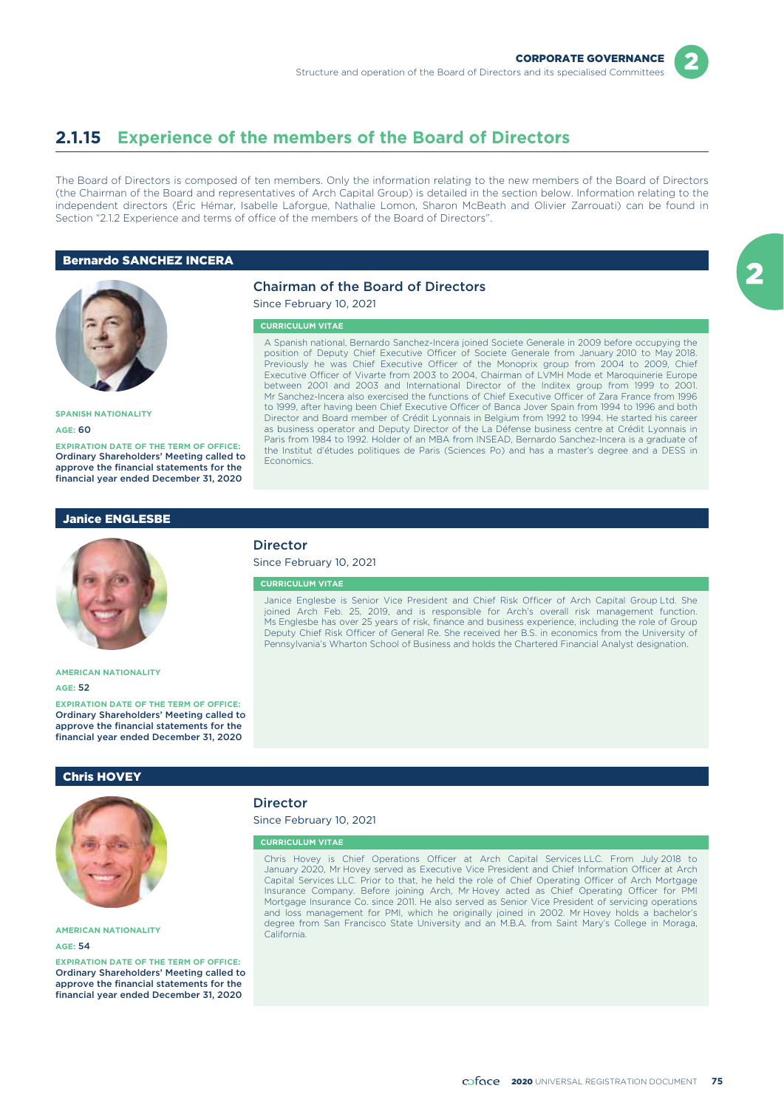

## **2.1.15 Experience of the members of the Board of Directors**

The Board of Directors is composed of ten members. Only the information relating to the new members of the Board of Directors (the Chairman of the Board and representatives of Arch Capital Group) is detailed in the section below. Information relating to the independent directors (Éric Hémar, Isabelle Laforgue, Nathalie Lomon, Sharon McBeath and Olivier Zarrouati) can be found in Section "2.1.2 Experience and terms of office of the members of the Board of Directors".

### Bernardo SANCHEZ INCERA



### Chairman of the Board of Directors

Since February 10, 2021

#### **CURRICULUM VITAE**

A Spanish national, Bernardo Sanchez-Incera joined Societe Generale in 2009 before occupying the position of Deputy Chief Executive Officer of Societe Generale from January 2010 to May 2018. Previously he was Chief Executive Officer of the Monoprix group from 2004 to 2009, Chief Executive Officer of Vivarte from 2003 to 2004, Chairman of LVMH Mode et Maroquinerie Europe between 2001 and 2003 and International Director of the Inditex group from 1999 to 2001. Mr Sanchez-Incera also exercised the functions of Chief Executive Officer of Zara France from 1996 to 1999, after having been Chief Executive Officer of Banca Jover Spain from 1994 to 1996 and both Director and Board member of Crédit Lyonnais in Belgium from 1992 to 1994. He started his career as business operator and Deputy Director of the La Défense business centre at Crédit Lyonnais in Paris from 1984 to 1992. Holder of an MBA from INSEAD, Bernardo Sanchez-Incera is a graduate of the Institut d'études politiques de Paris (Sciences Po) and has a master's degree and a DESS in Economics.

**SPANISH NATIONALITY**

**AGE:** 60

**EXPIRATION DATE OF THE TERM OF OFFICE:** Ordinary Shareholders' Meeting called to approve the financial statements for the financial year ended December 31, 2020

### Janice ENGLESBE



#### **AMERICAN NATIONALITY**

#### **AGE:** 52

**EXPIRATION DATE OF THE TERM OF OFFICE:** Ordinary Shareholders' Meeting called to approve the financial statements for the financial year ended December 31, 2020

### Chris HOVEY



### **AMERICAN NATIONALITY**

#### **AGE:** 54

**EXPIRATION DATE OF THE TERM OF OFFICE:** Ordinary Shareholders' Meeting called to approve the financial statements for the financial year ended December 31, 2020

### **Director**

Since February 10, 2021

#### **CURRICULUM VITAE**

Janice Englesbe is Senior Vice President and Chief Risk Officer of Arch Capital Group Ltd. She joined Arch Feb. 25, 2019, and is responsible for Arch's overall risk management function. Ms Englesbe has over 25 years of risk, finance and business experience, including the role of Group Deputy Chief Risk Officer of General Re. She received her B.S. in economics from the University of Pennsylvania's Wharton School of Business and holds the Chartered Financial Analyst designation.

### **Director**

Since February 10, 2021

#### **CURRICULUM VITAE**

Chris Hovey is Chief Operations Officer at Arch Capital Services LLC. From July 2018 to January 2020, Mr Hovey served as Executive Vice President and Chief Information Officer at Arch Capital Services LLC. Prior to that, he held the role of Chief Operating Officer of Arch Mortgage Insurance Company. Before joining Arch, Mr Hovey acted as Chief Operating Officer for PMI Mortgage Insurance Co. since 2011. He also served as Senior Vice President of servicing operations and loss management for PMI, which he originally joined in 2002. Mr Hovey holds a bachelor's degree from San Francisco State University and an M.B.A. from Saint Mary's College in Moraga, California.